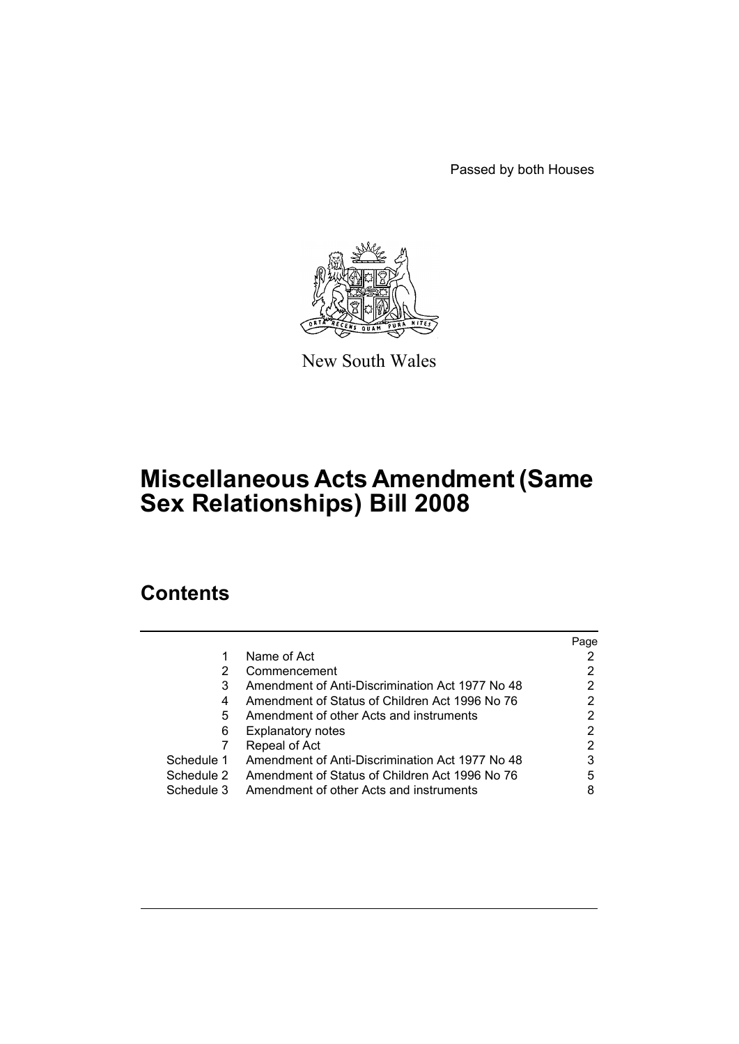Passed by both Houses



New South Wales

# **Miscellaneous Acts Amendment (Same Sex Relationships) Bill 2008**

# **Contents**

|            |                                                 | Page |
|------------|-------------------------------------------------|------|
|            | Name of Act                                     |      |
| 2          | Commencement                                    | 2    |
| 3          | Amendment of Anti-Discrimination Act 1977 No 48 | 2    |
| 4          | Amendment of Status of Children Act 1996 No 76  | 2    |
| 5          | Amendment of other Acts and instruments         | 2    |
| 6          | <b>Explanatory notes</b>                        | 2    |
|            | Repeal of Act                                   | 2    |
| Schedule 1 | Amendment of Anti-Discrimination Act 1977 No 48 | 3    |
| Schedule 2 | Amendment of Status of Children Act 1996 No 76  | 5    |
| Schedule 3 | Amendment of other Acts and instruments         | 8    |
|            |                                                 |      |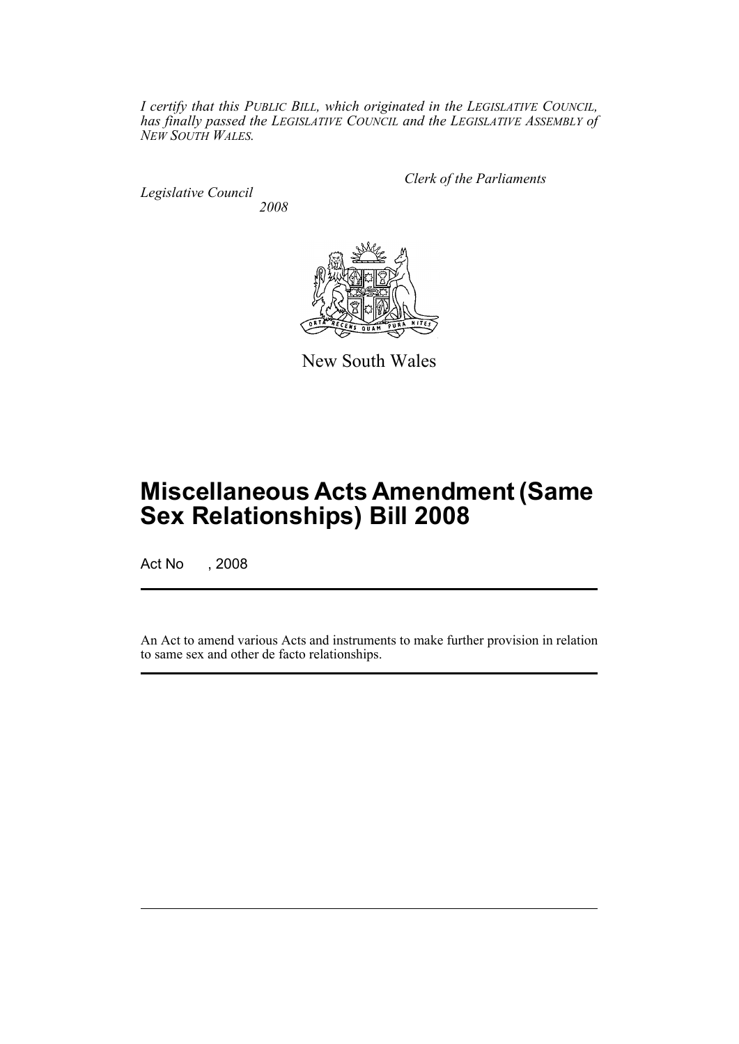*I certify that this PUBLIC BILL, which originated in the LEGISLATIVE COUNCIL, has finally passed the LEGISLATIVE COUNCIL and the LEGISLATIVE ASSEMBLY of NEW SOUTH WALES.*

*Legislative Council 2008* *Clerk of the Parliaments*



New South Wales

# **Miscellaneous Acts Amendment (Same Sex Relationships) Bill 2008**

Act No , 2008

An Act to amend various Acts and instruments to make further provision in relation to same sex and other de facto relationships.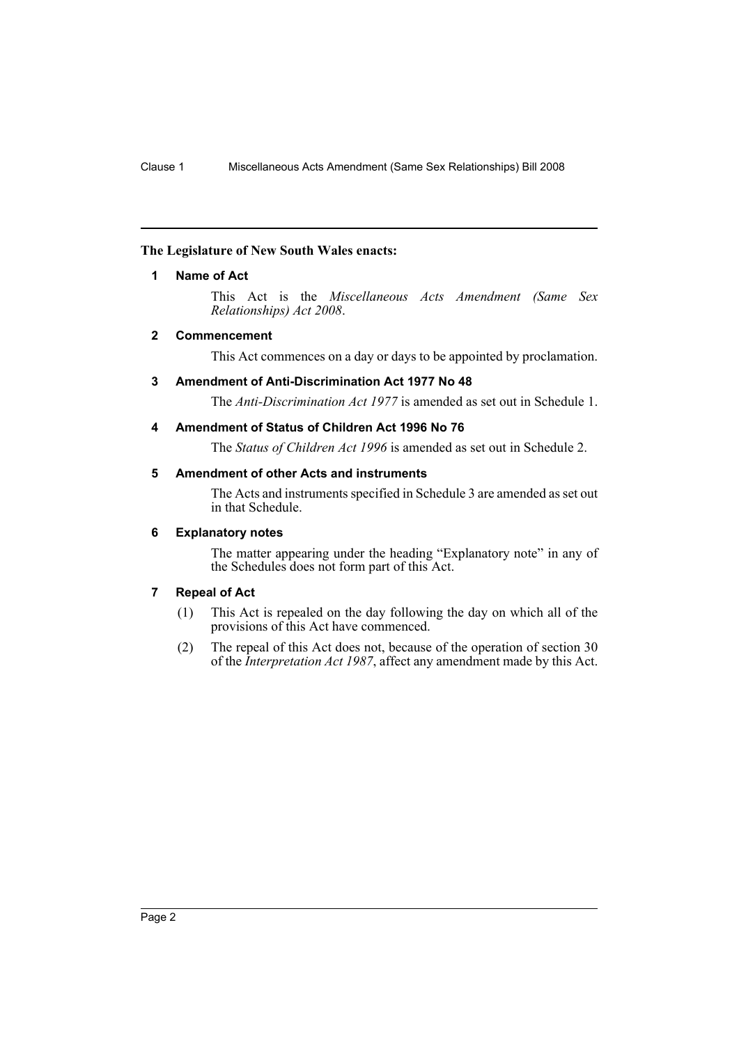# <span id="page-2-0"></span>**The Legislature of New South Wales enacts:**

# **1 Name of Act**

This Act is the *Miscellaneous Acts Amendment (Same Sex Relationships) Act 2008*.

# <span id="page-2-1"></span>**2 Commencement**

This Act commences on a day or days to be appointed by proclamation.

# <span id="page-2-2"></span>**3 Amendment of Anti-Discrimination Act 1977 No 48**

The *Anti-Discrimination Act 1977* is amended as set out in Schedule 1.

# <span id="page-2-3"></span>**4 Amendment of Status of Children Act 1996 No 76**

The *Status of Children Act 1996* is amended as set out in Schedule 2.

# <span id="page-2-4"></span>**5 Amendment of other Acts and instruments**

The Acts and instruments specified in Schedule 3 are amended as set out in that Schedule.

# <span id="page-2-5"></span>**6 Explanatory notes**

The matter appearing under the heading "Explanatory note" in any of the Schedules does not form part of this Act.

# <span id="page-2-6"></span>**7 Repeal of Act**

- (1) This Act is repealed on the day following the day on which all of the provisions of this Act have commenced.
- (2) The repeal of this Act does not, because of the operation of section 30 of the *Interpretation Act 1987*, affect any amendment made by this Act.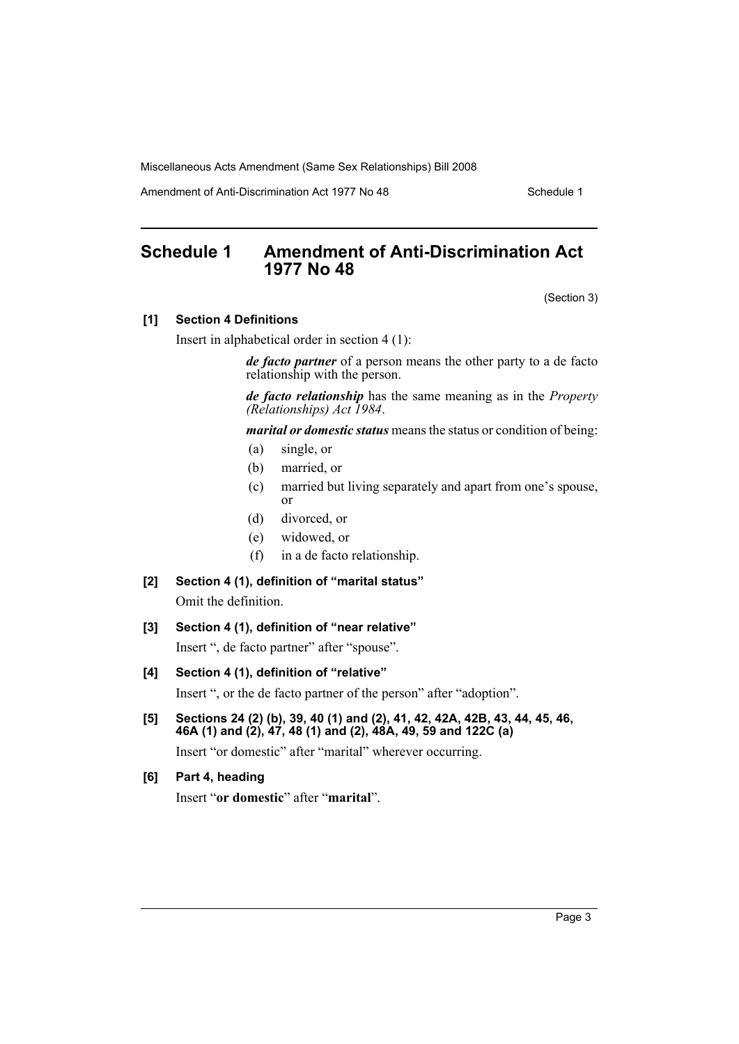Amendment of Anti-Discrimination Act 1977 No 48 Schedule 1

# <span id="page-3-0"></span>**Schedule 1 Amendment of Anti-Discrimination Act 1977 No 48**

(Section 3)

#### **[1] Section 4 Definitions**

Insert in alphabetical order in section 4 (1):

*de facto partner* of a person means the other party to a de facto relationship with the person.

*de facto relationship* has the same meaning as in the *Property (Relationships) Act 1984*.

*marital or domestic status* means the status or condition of being:

- (a) single, or
- (b) married, or
- (c) married but living separately and apart from one's spouse, or
- (d) divorced, or
- (e) widowed, or
- (f) in a de facto relationship.

# **[2] Section 4 (1), definition of "marital status"**

Omit the definition.

# **[3] Section 4 (1), definition of "near relative"**

Insert ", de facto partner" after "spouse".

# **[4] Section 4 (1), definition of "relative"**

Insert ", or the de facto partner of the person" after "adoption".

**[5] Sections 24 (2) (b), 39, 40 (1) and (2), 41, 42, 42A, 42B, 43, 44, 45, 46, 46A (1) and (2), 47, 48 (1) and (2), 48A, 49, 59 and 122C (a)**

Insert "or domestic" after "marital" wherever occurring.

**[6] Part 4, heading**

Insert "**or domestic**" after "**marital**".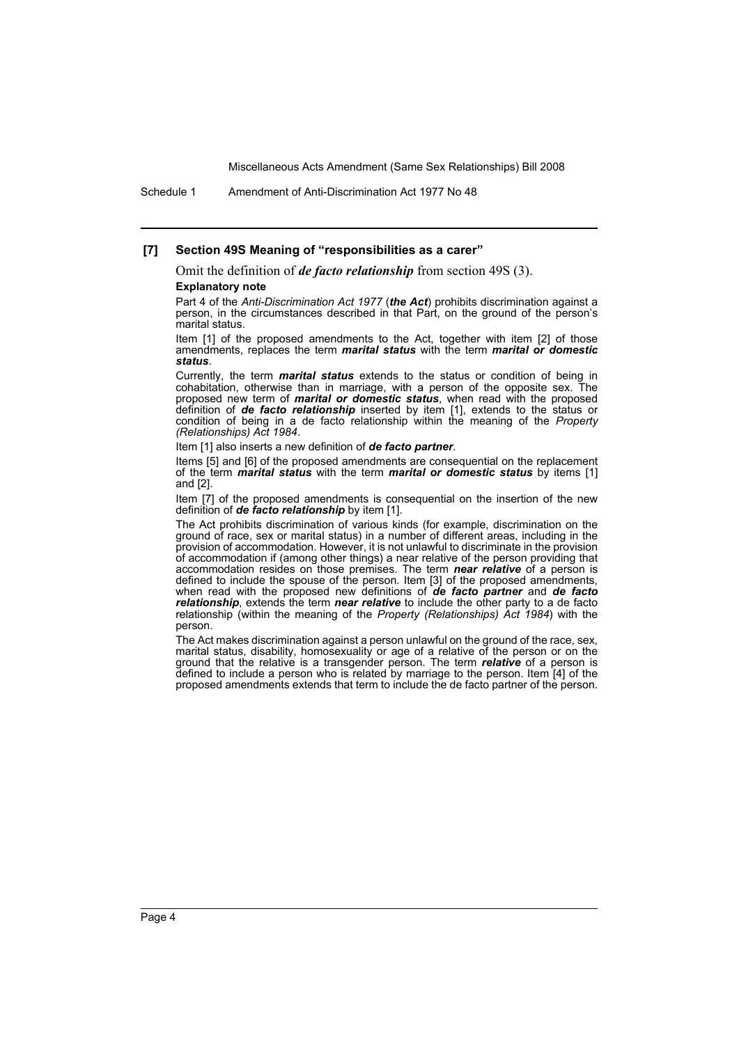Schedule 1 Amendment of Anti-Discrimination Act 1977 No 48

#### **[7] Section 49S Meaning of "responsibilities as a carer"**

Omit the definition of *de facto relationship* from section 49S (3).

#### **Explanatory note**

Part 4 of the *Anti-Discrimination Act 1977* (*the Act*) prohibits discrimination against a person, in the circumstances described in that Part, on the ground of the person's marital status.

Item [1] of the proposed amendments to the Act, together with item [2] of those amendments, replaces the term *marital status* with the term *marital or domestic status*.

Currently, the term *marital status* extends to the status or condition of being in cohabitation, otherwise than in marriage, with a person of the opposite sex. The proposed new term of *marital or domestic status*, when read with the proposed definition of *de facto relationship* inserted by item [1], extends to the status or condition of being in a de facto relationship within the meaning of the *Property (Relationships) Act 1984*.

Item [1] also inserts a new definition of *de facto partner*.

Items [5] and [6] of the proposed amendments are consequential on the replacement of the term *marital status* with the term *marital or domestic status* by items [1] and [2].

Item [7] of the proposed amendments is consequential on the insertion of the new definition of *de facto relationship* by item [1].

The Act prohibits discrimination of various kinds (for example, discrimination on the ground of race, sex or marital status) in a number of different areas, including in the provision of accommodation. However, it is not unlawful to discriminate in the provision of accommodation if (among other things) a near relative of the person providing that accommodation resides on those premises. The term *near relative* of a person is defined to include the spouse of the person. Item [3] of the proposed amendments, when read with the proposed new definitions of *de facto partner* and *de facto relationship*, extends the term *near relative* to include the other party to a de facto relationship (within the meaning of the *Property (Relationships) Act 1984*) with the person.

The Act makes discrimination against a person unlawful on the ground of the race, sex, marital status, disability, homosexuality or age of a relative of the person or on the ground that the relative is a transgender person. The term *relative* of a person is defined to include a person who is related by marriage to the person. Item [4] of the proposed amendments extends that term to include the de facto partner of the person.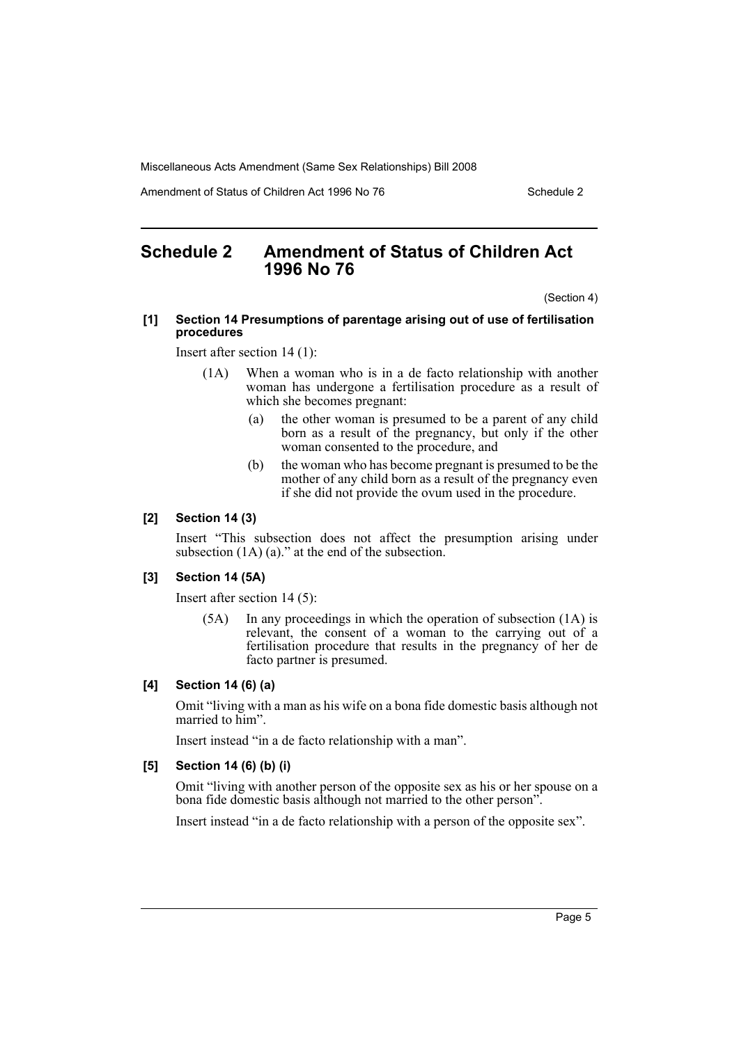Amendment of Status of Children Act 1996 No 76 Schedule 2

# <span id="page-5-0"></span>**Schedule 2 Amendment of Status of Children Act 1996 No 76**

(Section 4)

#### **[1] Section 14 Presumptions of parentage arising out of use of fertilisation procedures**

Insert after section 14 (1):

- (1A) When a woman who is in a de facto relationship with another woman has undergone a fertilisation procedure as a result of which she becomes pregnant:
	- (a) the other woman is presumed to be a parent of any child born as a result of the pregnancy, but only if the other woman consented to the procedure, and
	- (b) the woman who has become pregnant is presumed to be the mother of any child born as a result of the pregnancy even if she did not provide the ovum used in the procedure.

#### **[2] Section 14 (3)**

Insert "This subsection does not affect the presumption arising under subsection  $(1A)$  (a)." at the end of the subsection.

### **[3] Section 14 (5A)**

Insert after section 14 (5):

(5A) In any proceedings in which the operation of subsection (1A) is relevant, the consent of a woman to the carrying out of a fertilisation procedure that results in the pregnancy of her de facto partner is presumed.

# **[4] Section 14 (6) (a)**

Omit "living with a man as his wife on a bona fide domestic basis although not married to him".

Insert instead "in a de facto relationship with a man".

# **[5] Section 14 (6) (b) (i)**

Omit "living with another person of the opposite sex as his or her spouse on a bona fide domestic basis although not married to the other person".

Insert instead "in a de facto relationship with a person of the opposite sex".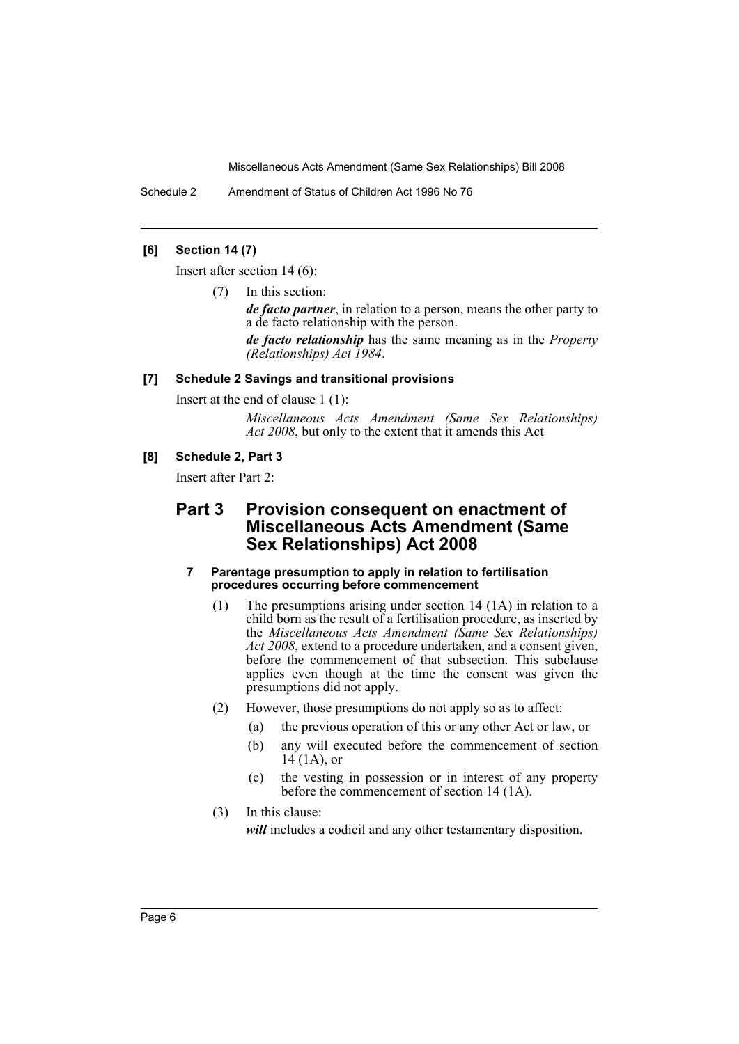Schedule 2 Amendment of Status of Children Act 1996 No 76

# **[6] Section 14 (7)**

Insert after section 14 (6):

(7) In this section:

*de facto partner*, in relation to a person, means the other party to a de facto relationship with the person.

*de facto relationship* has the same meaning as in the *Property (Relationships) Act 1984*.

## **[7] Schedule 2 Savings and transitional provisions**

Insert at the end of clause 1 (1):

*Miscellaneous Acts Amendment (Same Sex Relationships) Act 2008*, but only to the extent that it amends this Act

# **[8] Schedule 2, Part 3**

Insert after Part 2:

# **Part 3 Provision consequent on enactment of Miscellaneous Acts Amendment (Same Sex Relationships) Act 2008**

#### **7 Parentage presumption to apply in relation to fertilisation procedures occurring before commencement**

- (1) The presumptions arising under section 14 (1A) in relation to a child born as the result of a fertilisation procedure, as inserted by the *Miscellaneous Acts Amendment (Same Sex Relationships) Act 2008*, extend to a procedure undertaken, and a consent given, before the commencement of that subsection. This subclause applies even though at the time the consent was given the presumptions did not apply.
- (2) However, those presumptions do not apply so as to affect:
	- (a) the previous operation of this or any other Act or law, or
	- (b) any will executed before the commencement of section  $14(1A)$ , or
	- (c) the vesting in possession or in interest of any property before the commencement of section 14 (1A).

#### (3) In this clause:

*will* includes a codicil and any other testamentary disposition.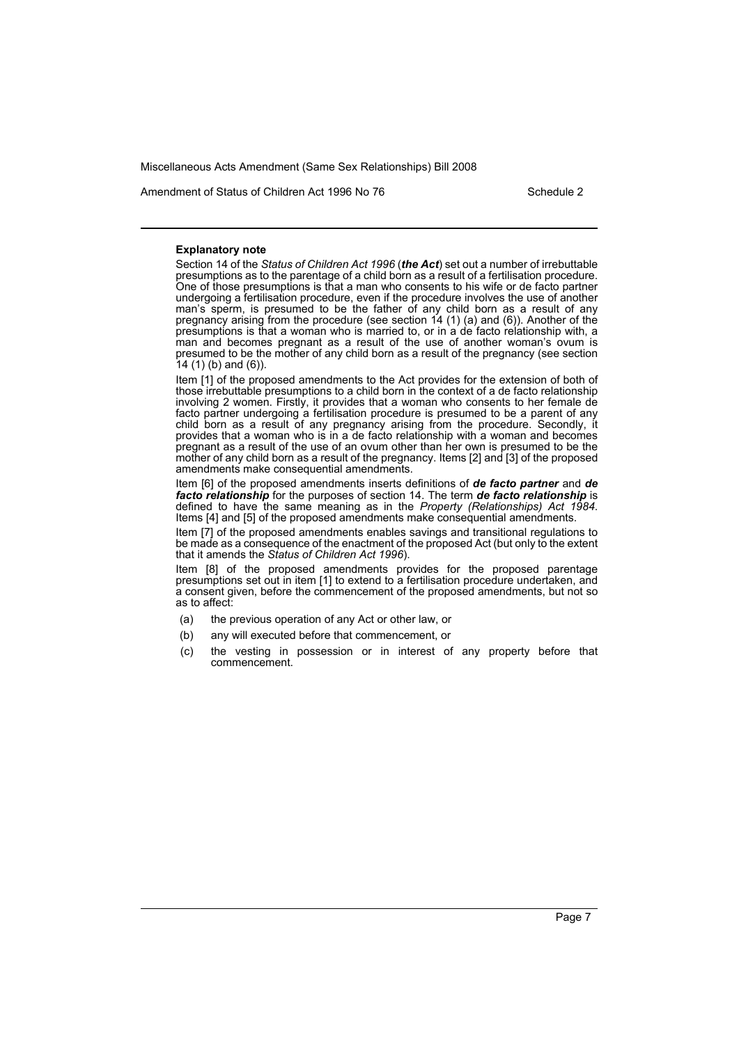Amendment of Status of Children Act 1996 No 76 Schedule 2

#### **Explanatory note**

Section 14 of the *Status of Children Act 1996* (*the Act*) set out a number of irrebuttable presumptions as to the parentage of a child born as a result of a fertilisation procedure. One of those presumptions is that a man who consents to his wife or de facto partner undergoing a fertilisation procedure, even if the procedure involves the use of another man's sperm, is presumed to be the father of any child born as a result of any pregnancy arising from the procedure (see section 14 (1) (a) and (6)). Another of the presumptions is that a woman who is married to, or in a de facto relationship with, a man and becomes pregnant as a result of the use of another woman's ovum is presumed to be the mother of any child born as a result of the pregnancy (see section 14 (1) (b) and (6)).

Item [1] of the proposed amendments to the Act provides for the extension of both of those irrebuttable presumptions to a child born in the context of a de facto relationship involving 2 women. Firstly, it provides that a woman who consents to her female de facto partner undergoing a fertilisation procedure is presumed to be a parent of any child born as a result of any pregnancy arising from the procedure. Secondly, it provides that a woman who is in a de facto relationship with a woman and becomes pregnant as a result of the use of an ovum other than her own is presumed to be the mother of any child born as a result of the pregnancy. Items [2] and [3] of the proposed amendments make consequential amendments.

Item [6] of the proposed amendments inserts definitions of *de facto partner* and *de facto relationship* for the purposes of section 14. The term *de facto relationship* is defined to have the same meaning as in the *Property (Relationships) Act 1984.*<br>Items [4] and [5] of the proposed amendments make consequential amendments.

Item [7] of the proposed amendments enables savings and transitional regulations to be made as a consequence of the enactment of the proposed Act (but only to the extent that it amends the *Status of Children Act 1996*).

Item [8] of the proposed amendments provides for the proposed parentage presumptions set out in item [1] to extend to a fertilisation procedure undertaken, and a consent given, before the commencement of the proposed amendments, but not so as to affect:

- (a) the previous operation of any Act or other law, or
- (b) any will executed before that commencement, or
- (c) the vesting in possession or in interest of any property before that commencement.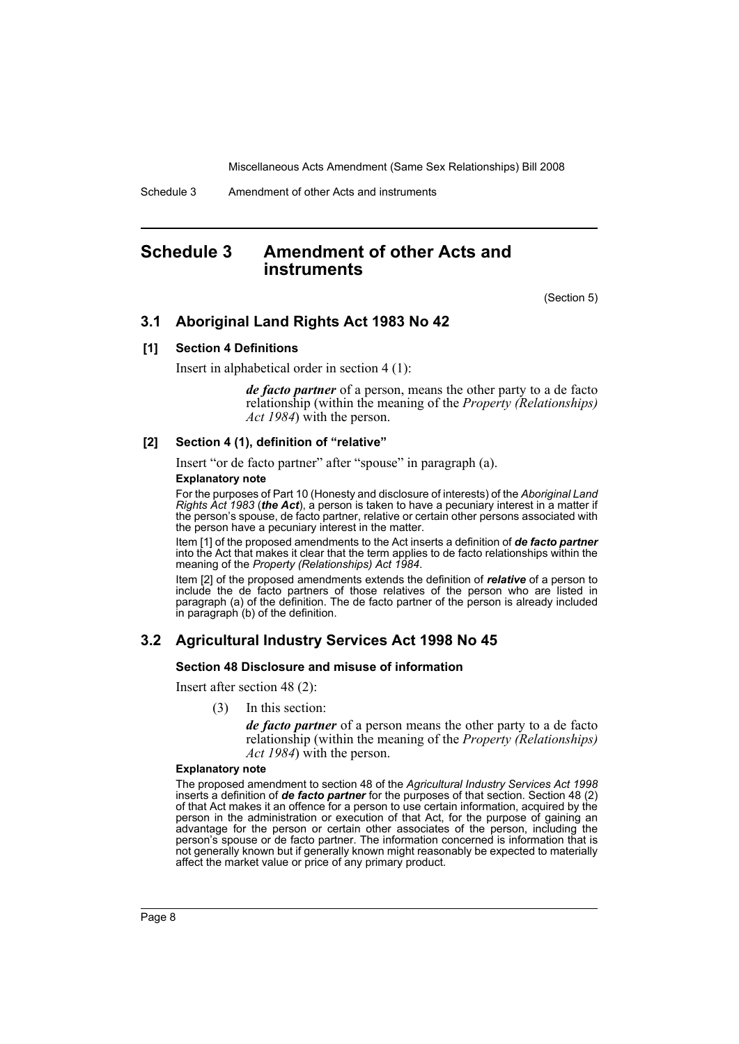Schedule 3 Amendment of other Acts and instruments

# <span id="page-8-0"></span>**Schedule 3 Amendment of other Acts and instruments**

(Section 5)

# **3.1 Aboriginal Land Rights Act 1983 No 42**

# **[1] Section 4 Definitions**

Insert in alphabetical order in section 4 (1):

*de facto partner* of a person, means the other party to a de facto relationship (within the meaning of the *Property (Relationships) Act 1984*) with the person.

#### **[2] Section 4 (1), definition of "relative"**

Insert "or de facto partner" after "spouse" in paragraph (a).

#### **Explanatory note**

For the purposes of Part 10 (Honesty and disclosure of interests) of the *Aboriginal Land Rights Act 1983* (*the Act*), a person is taken to have a pecuniary interest in a matter if the person's spouse, de facto partner, relative or certain other persons associated with the person have a pecuniary interest in the matter.

Item [1] of the proposed amendments to the Act inserts a definition of *de facto partner* into the Act that makes it clear that the term applies to de facto relationships within the meaning of the *Property (Relationships) Act 1984*.

Item [2] of the proposed amendments extends the definition of *relative* of a person to include the de facto partners of those relatives of the person who are listed in paragraph (a) of the definition. The de facto partner of the person is already included in paragraph (b) of the definition.

# **3.2 Agricultural Industry Services Act 1998 No 45**

#### **Section 48 Disclosure and misuse of information**

Insert after section 48 (2):

(3) In this section:

*de facto partner* of a person means the other party to a de facto relationship (within the meaning of the *Property (Relationships) Act 1984*) with the person.

#### **Explanatory note**

The proposed amendment to section 48 of the *Agricultural Industry Services Act 1998* inserts a definition of *de facto partner* for the purposes of that section. Section 48 (2) of that Act makes it an offence for a person to use certain information, acquired by the person in the administration or execution of that Act, for the purpose of gaining an advantage for the person or certain other associates of the person, including the person's spouse or de facto partner. The information concerned is information that is not generally known but if generally known might reasonably be expected to materially affect the market value or price of any primary product.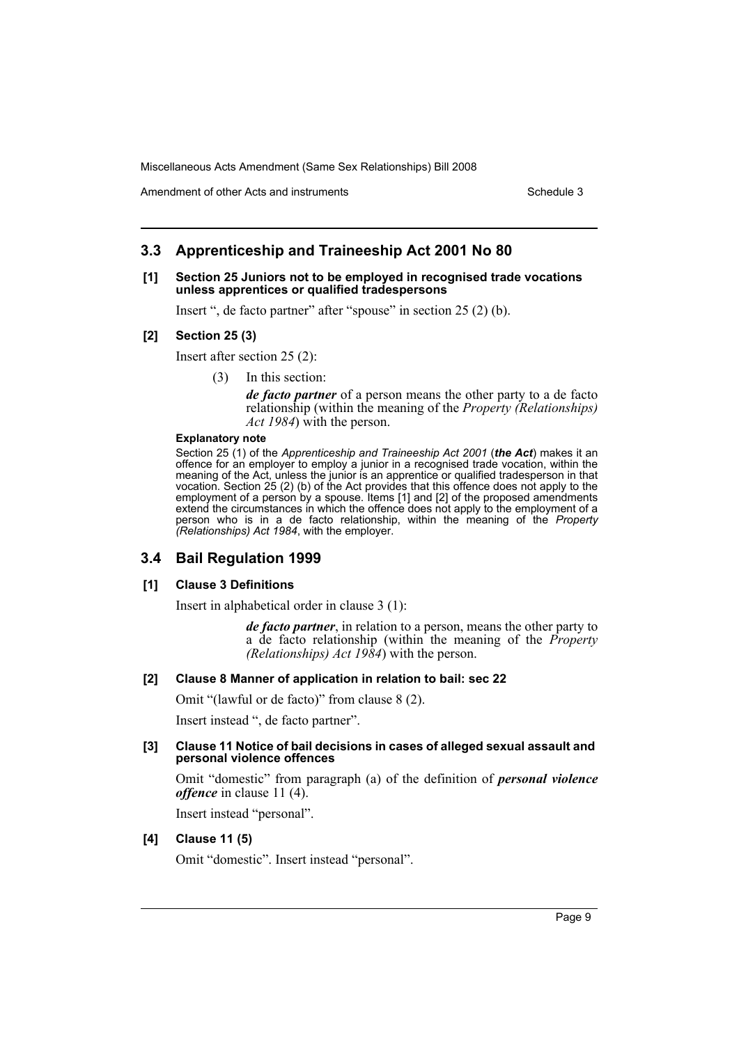Amendment of other Acts and instruments Schedule 3

# **3.3 Apprenticeship and Traineeship Act 2001 No 80**

#### **[1] Section 25 Juniors not to be employed in recognised trade vocations unless apprentices or qualified tradespersons**

Insert ", de facto partner" after "spouse" in section 25 (2) (b).

#### **[2] Section 25 (3)**

Insert after section 25 (2):

(3) In this section:

*de facto partner* of a person means the other party to a de facto relationship (within the meaning of the *Property (Relationships) Act 1984*) with the person.

#### **Explanatory note**

Section 25 (1) of the *Apprenticeship and Traineeship Act 2001* (*the Act*) makes it an offence for an employer to employ a junior in a recognised trade vocation, within the meaning of the Act, unless the junior is an apprentice or qualified tradesperson in that vocation. Section 25 (2) (b) of the Act provides that this offence does not apply to the employment of a person by a spouse. Items [1] and [2] of the proposed amendments extend the circumstances in which the offence does not apply to the employment of a person who is in a de facto relationship, within the meaning of the *Property (Relationships) Act 1984*, with the employer.

# **3.4 Bail Regulation 1999**

# **[1] Clause 3 Definitions**

Insert in alphabetical order in clause 3 (1):

*de facto partner*, in relation to a person, means the other party to a de facto relationship (within the meaning of the *Property (Relationships) Act 1984*) with the person.

#### **[2] Clause 8 Manner of application in relation to bail: sec 22**

Omit "(lawful or de facto)" from clause 8 (2).

Insert instead ", de facto partner".

#### **[3] Clause 11 Notice of bail decisions in cases of alleged sexual assault and personal violence offences**

Omit "domestic" from paragraph (a) of the definition of *personal violence offence* in clause 11 (4).

Insert instead "personal".

# **[4] Clause 11 (5)**

Omit "domestic". Insert instead "personal".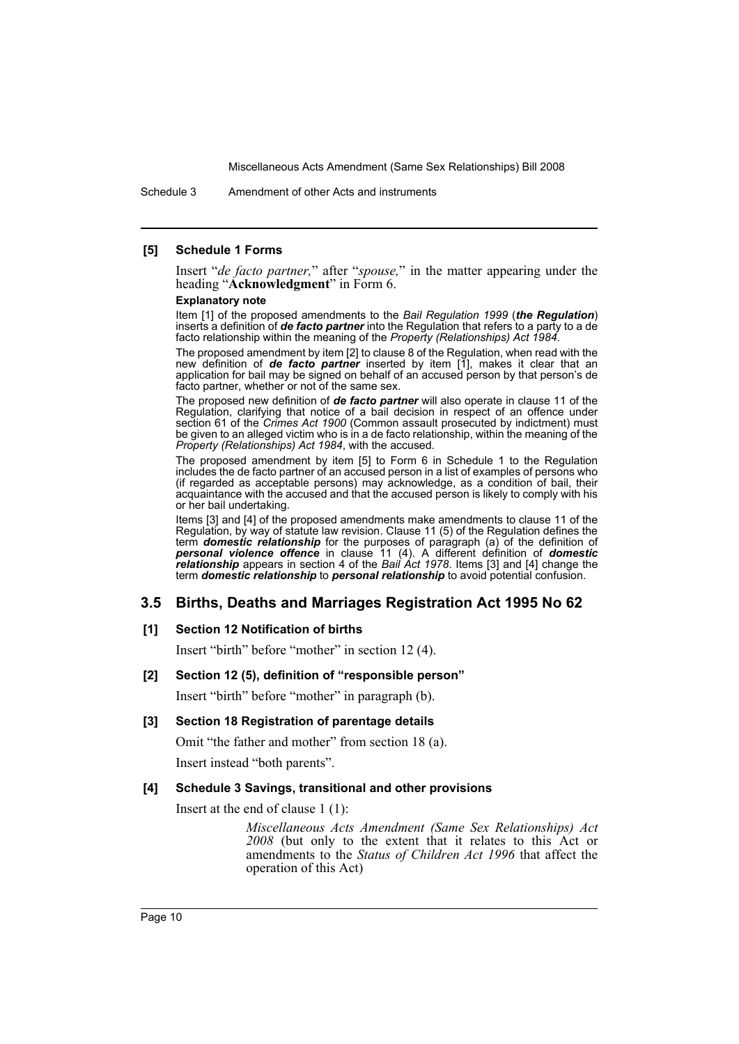Schedule 3 Amendment of other Acts and instruments

#### **[5] Schedule 1 Forms**

Insert "*de facto partner,*" after "*spouse,*" in the matter appearing under the heading "**Acknowledgment**" in Form 6.

#### **Explanatory note**

Item [1] of the proposed amendments to the *Bail Regulation 1999* (*the Regulation*) inserts a definition of *de facto partner* into the Regulation that refers to a party to a de facto relationship within the meaning of the *Property (Relationships) Act 1984*.

The proposed amendment by item [2] to clause 8 of the Regulation, when read with the new definition of *de facto partner* inserted by item [1], makes it clear that an application for bail may be signed on behalf of an accused person by that person's de facto partner, whether or not of the same sex.

The proposed new definition of *de facto partner* will also operate in clause 11 of the Regulation, clarifying that notice of a bail decision in respect of an offence under section 61 of the *Crimes Act 1900* (Common assault prosecuted by indictment) must be given to an alleged victim who is in a de facto relationship, within the meaning of the *Property (Relationships) Act 1984*, with the accused.

The proposed amendment by item [5] to Form 6 in Schedule 1 to the Regulation includes the de facto partner of an accused person in a list of examples of persons who (if regarded as acceptable persons) may acknowledge, as a condition of bail, their acquaintance with the accused and that the accused person is likely to comply with his or her bail undertaking.

Items [3] and [4] of the proposed amendments make amendments to clause 11 of the Regulation, by way of statute law revision. Clause 11 (5) of the Regulation defines the term *domestic relationship* for the purposes of paragraph (a) of the definition of *personal violence offence* in clause 11 (4). A different definition of *domestic relationship* appears in section 4 of the *Bail Act 1978*. Items [3] and [4] change the term *domestic relationship* to *personal relationship* to avoid potential confusion.

# **3.5 Births, Deaths and Marriages Registration Act 1995 No 62**

#### **[1] Section 12 Notification of births**

Insert "birth" before "mother" in section 12 (4).

#### **[2] Section 12 (5), definition of "responsible person"**

Insert "birth" before "mother" in paragraph (b).

#### **[3] Section 18 Registration of parentage details**

Omit "the father and mother" from section 18 (a). Insert instead "both parents".

#### **[4] Schedule 3 Savings, transitional and other provisions**

Insert at the end of clause 1 (1):

*Miscellaneous Acts Amendment (Same Sex Relationships) Act 2008* (but only to the extent that it relates to this Act or amendments to the *Status of Children Act 1996* that affect the operation of this Act)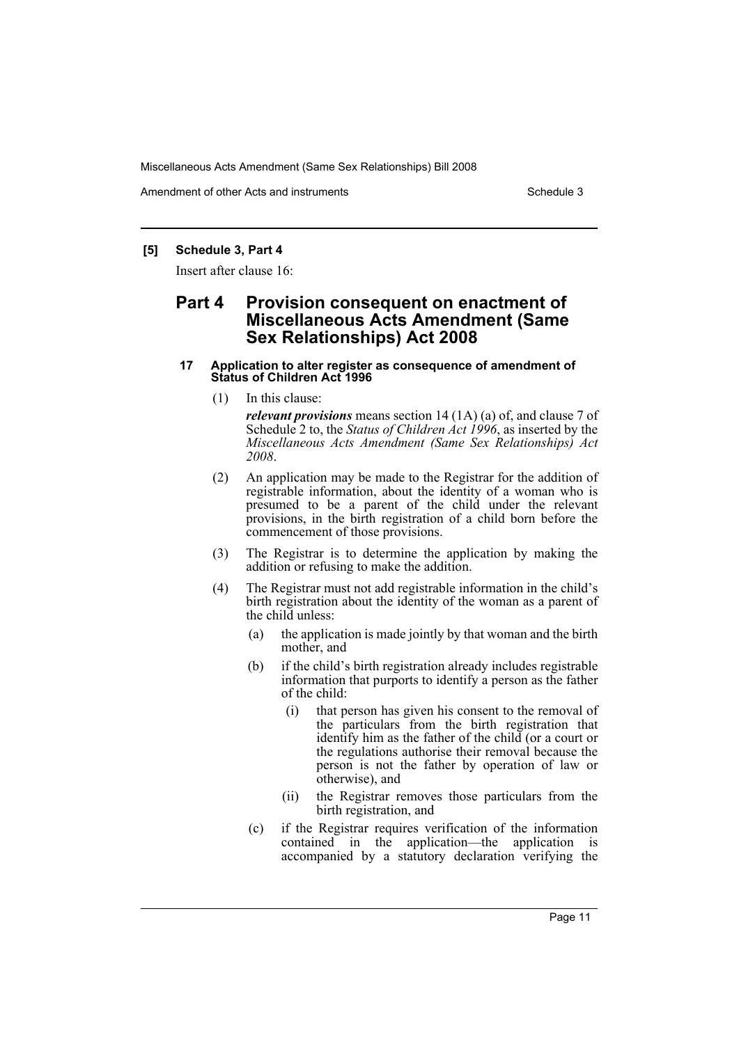Amendment of other Acts and instruments Schedule 3

# **[5] Schedule 3, Part 4**

Insert after clause 16:

# **Part 4 Provision consequent on enactment of Miscellaneous Acts Amendment (Same Sex Relationships) Act 2008**

#### **17 Application to alter register as consequence of amendment of Status of Children Act 1996**

(1) In this clause:

*relevant provisions* means section 14 (1A) (a) of, and clause 7 of Schedule 2 to, the *Status of Children Act 1996*, as inserted by the *Miscellaneous Acts Amendment (Same Sex Relationships) Act 2008*.

- (2) An application may be made to the Registrar for the addition of registrable information, about the identity of a woman who is presumed to be a parent of the child under the relevant provisions, in the birth registration of a child born before the commencement of those provisions.
- (3) The Registrar is to determine the application by making the addition or refusing to make the addition.
- (4) The Registrar must not add registrable information in the child's birth registration about the identity of the woman as a parent of the child unless:
	- (a) the application is made jointly by that woman and the birth mother, and
	- (b) if the child's birth registration already includes registrable information that purports to identify a person as the father of the child:
		- (i) that person has given his consent to the removal of the particulars from the birth registration that identify him as the father of the child (or a court or the regulations authorise their removal because the person is not the father by operation of law or otherwise), and
		- (ii) the Registrar removes those particulars from the birth registration, and
	- (c) if the Registrar requires verification of the information contained in the application—the application is accompanied by a statutory declaration verifying the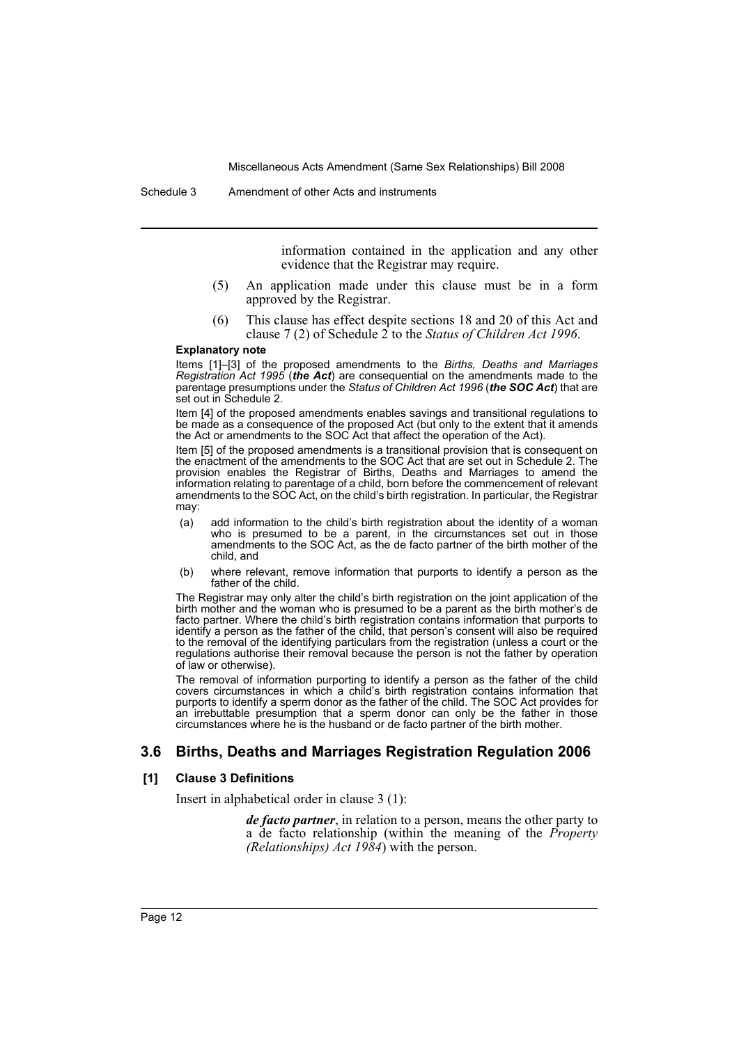Schedule 3 Amendment of other Acts and instruments

information contained in the application and any other evidence that the Registrar may require.

- (5) An application made under this clause must be in a form approved by the Registrar.
- (6) This clause has effect despite sections 18 and 20 of this Act and clause 7 (2) of Schedule 2 to the *Status of Children Act 1996*.

#### **Explanatory note**

Items [1]–[3] of the proposed amendments to the *Births, Deaths and Marriages Registration Act 1995* (*the Act*) are consequential on the amendments made to the parentage presumptions under the *Status of Children Act 1996* (*the SOC Act*) that are set out in Schedule 2.

Item [4] of the proposed amendments enables savings and transitional regulations to be made as a consequence of the proposed Act (but only to the extent that it amends the Act or amendments to the SOC Act that affect the operation of the Act).

Item [5] of the proposed amendments is a transitional provision that is consequent on the enactment of the amendments to the SOC Act that are set out in Schedule 2. The provision enables the Registrar of Births, Deaths and Marriages to amend the information relating to parentage of a child, born before the commencement of relevant amendments to the SOC Act, on the child's birth registration. In particular, the Registrar may:

- (a) add information to the child's birth registration about the identity of a woman who is presumed to be a parent, in the circumstances set out in those amendments to the SOC Act, as the de facto partner of the birth mother of the child, and
- (b) where relevant, remove information that purports to identify a person as the father of the child.

The Registrar may only alter the child's birth registration on the joint application of the birth mother and the woman who is presumed to be a parent as the birth mother's de facto partner. Where the child's birth registration contains information that purports to identify a person as the father of the child, that person's consent will also be required to the removal of the identifying particulars from the registration (unless a court or the regulations authorise their removal because the person is not the father by operation of law or otherwise).

The removal of information purporting to identify a person as the father of the child covers circumstances in which a child's birth registration contains information that purports to identify a sperm donor as the father of the child. The SOC Act provides for an irrebuttable presumption that a sperm donor can only be the father in those circumstances where he is the husband or de facto partner of the birth mother.

# **3.6 Births, Deaths and Marriages Registration Regulation 2006**

#### **[1] Clause 3 Definitions**

Insert in alphabetical order in clause 3 (1):

*de facto partner*, in relation to a person, means the other party to a de facto relationship (within the meaning of the *Property (Relationships) Act 1984*) with the person.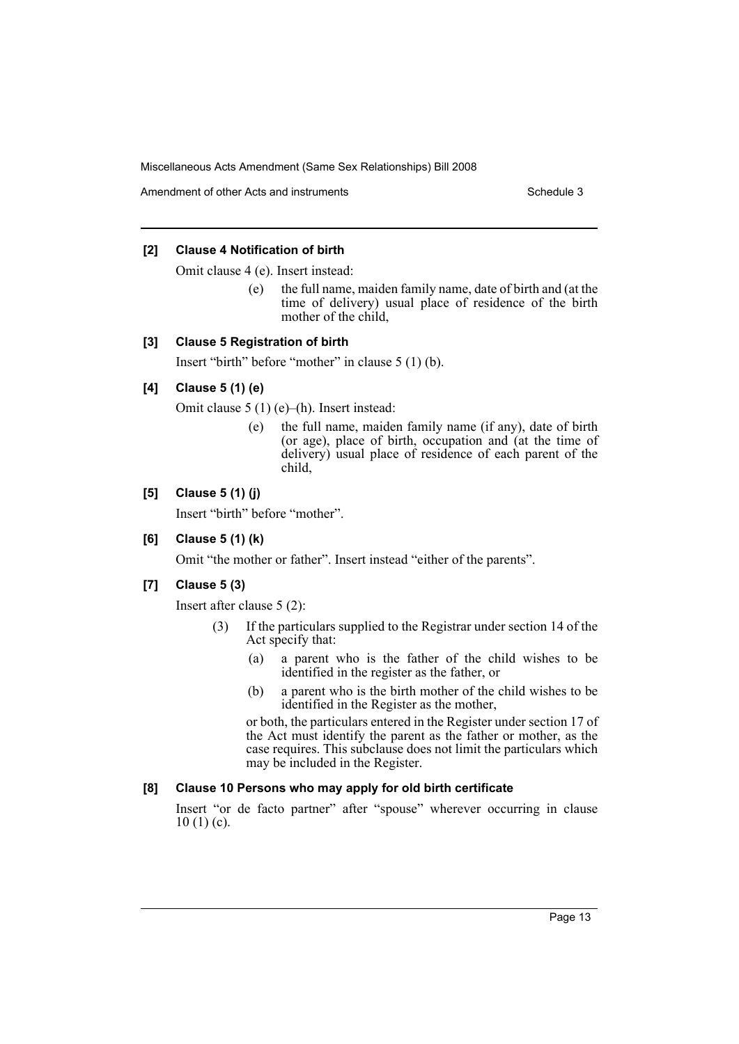Amendment of other Acts and instruments Schedule 3

# **[2] Clause 4 Notification of birth**

Omit clause 4 (e). Insert instead:

(e) the full name, maiden family name, date of birth and (at the time of delivery) usual place of residence of the birth mother of the child,

# **[3] Clause 5 Registration of birth**

Insert "birth" before "mother" in clause 5 (1) (b).

# **[4] Clause 5 (1) (e)**

Omit clause 5 (1) (e)–(h). Insert instead:

(e) the full name, maiden family name (if any), date of birth (or age), place of birth, occupation and (at the time of delivery) usual place of residence of each parent of the child,

# **[5] Clause 5 (1) (j)**

Insert "birth" before "mother".

# **[6] Clause 5 (1) (k)**

Omit "the mother or father". Insert instead "either of the parents".

# **[7] Clause 5 (3)**

Insert after clause 5 (2):

- (3) If the particulars supplied to the Registrar under section 14 of the Act specify that:
	- (a) a parent who is the father of the child wishes to be identified in the register as the father, or
	- (b) a parent who is the birth mother of the child wishes to be identified in the Register as the mother,

or both, the particulars entered in the Register under section 17 of the Act must identify the parent as the father or mother, as the case requires. This subclause does not limit the particulars which may be included in the Register.

# **[8] Clause 10 Persons who may apply for old birth certificate**

Insert "or de facto partner" after "spouse" wherever occurring in clause  $10(1)(c)$ .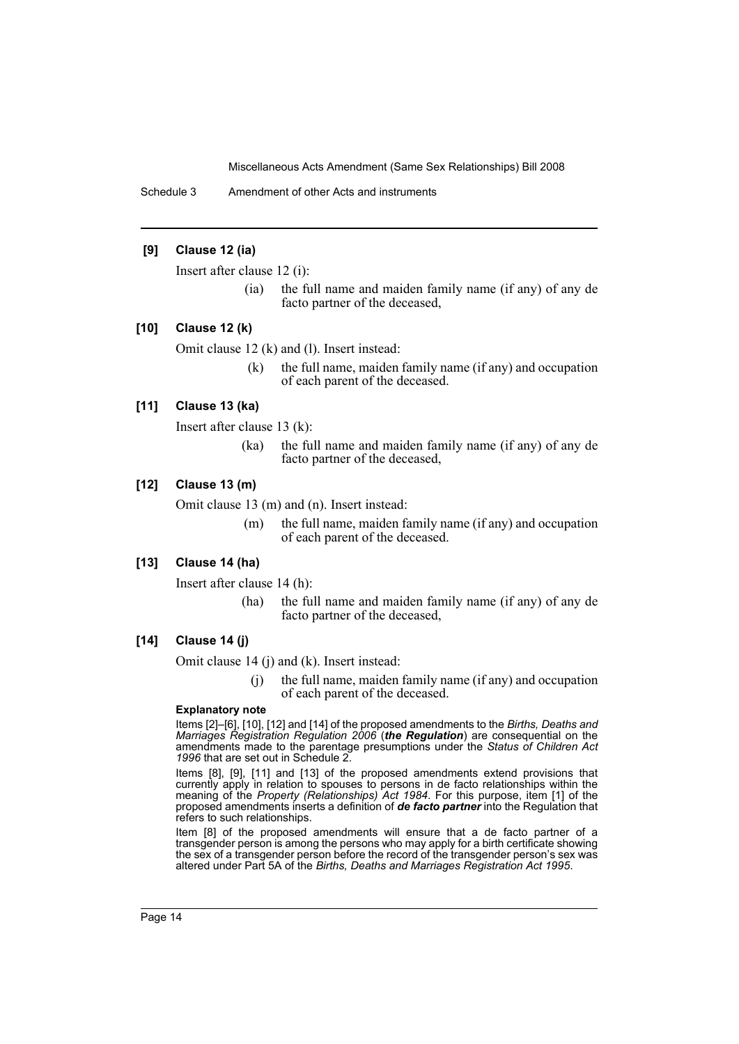Schedule 3 Amendment of other Acts and instruments

# **[9] Clause 12 (ia)**

Insert after clause 12 (i):

(ia) the full name and maiden family name (if any) of any de facto partner of the deceased,

# **[10] Clause 12 (k)**

Omit clause 12 (k) and (l). Insert instead:

(k) the full name, maiden family name (if any) and occupation of each parent of the deceased.

### **[11] Clause 13 (ka)**

Insert after clause 13 (k):

(ka) the full name and maiden family name (if any) of any de facto partner of the deceased,

# **[12] Clause 13 (m)**

Omit clause 13 (m) and (n). Insert instead:

(m) the full name, maiden family name (if any) and occupation of each parent of the deceased.

# **[13] Clause 14 (ha)**

Insert after clause 14 (h):

(ha) the full name and maiden family name (if any) of any de facto partner of the deceased,

#### **[14] Clause 14 (j)**

Omit clause 14 (j) and (k). Insert instead:

(j) the full name, maiden family name (if any) and occupation of each parent of the deceased.

### **Explanatory note**

Items [2]–[6], [10], [12] and [14] of the proposed amendments to the *Births, Deaths and Marriages Registration Regulation 2006* (*the Regulation*) are consequential on the amendments made to the parentage presumptions under the *Status of Children Act 1996* that are set out in Schedule 2.

Items [8], [9], [11] and [13] of the proposed amendments extend provisions that currently apply in relation to spouses to persons in de facto relationships within the meaning of the *Property (Relationships) Act 1984*. For this purpose, item [1] of the proposed amendments inserts a definition of *de facto partner* into the Regulation that refers to such relationships.

Item [8] of the proposed amendments will ensure that a de facto partner of a transgender person is among the persons who may apply for a birth certificate showing the sex of a transgender person before the record of the transgender person's sex was altered under Part 5A of the *Births, Deaths and Marriages Registration Act 1995*.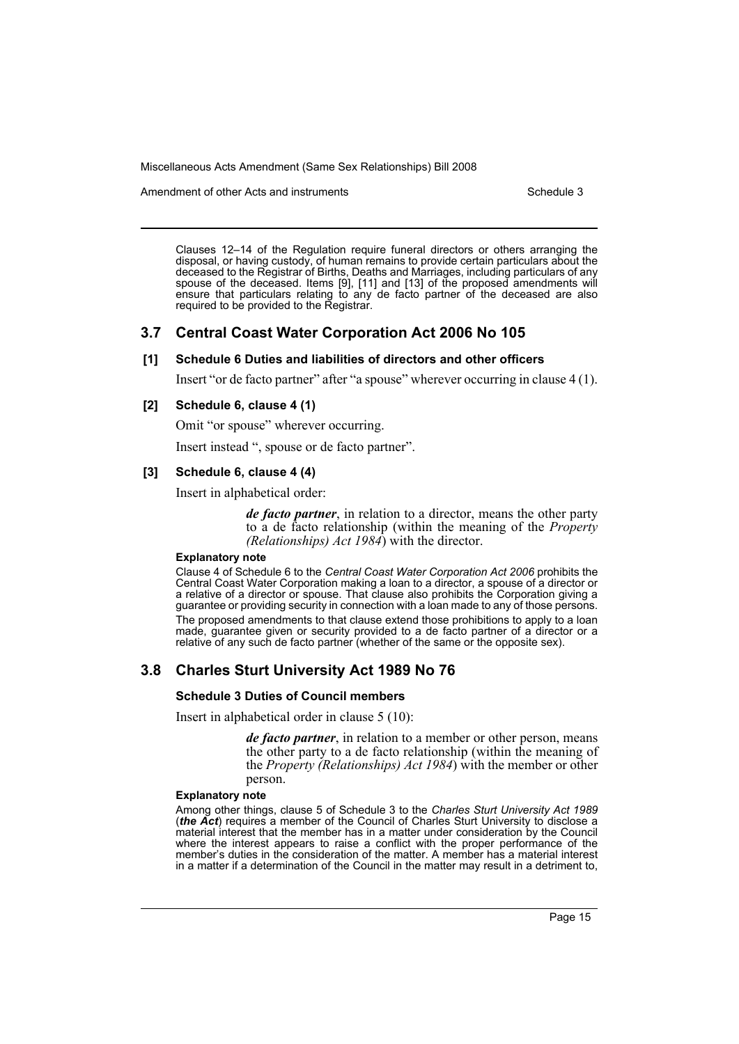Amendment of other Acts and instruments Schedule 3

Clauses 12–14 of the Regulation require funeral directors or others arranging the disposal, or having custody, of human remains to provide certain particulars about the deceased to the Registrar of Births, Deaths and Marriages, including particulars of any spouse of the deceased. Items [9], [11] and [13] of the proposed amendments will ensure that particulars relating to any de facto partner of the deceased are also required to be provided to the Registrar.

# **3.7 Central Coast Water Corporation Act 2006 No 105**

#### **[1] Schedule 6 Duties and liabilities of directors and other officers**

Insert "or de facto partner" after "a spouse" wherever occurring in clause 4 (1).

#### **[2] Schedule 6, clause 4 (1)**

Omit "or spouse" wherever occurring.

Insert instead ", spouse or de facto partner".

#### **[3] Schedule 6, clause 4 (4)**

Insert in alphabetical order:

*de facto partner*, in relation to a director, means the other party to a de facto relationship (within the meaning of the *Property (Relationships) Act 1984*) with the director.

#### **Explanatory note**

Clause 4 of Schedule 6 to the *Central Coast Water Corporation Act 2006* prohibits the Central Coast Water Corporation making a loan to a director, a spouse of a director or a relative of a director or spouse. That clause also prohibits the Corporation giving a guarantee or providing security in connection with a loan made to any of those persons. The proposed amendments to that clause extend those prohibitions to apply to a loan made, guarantee given or security provided to a de facto partner of a director or a relative of any such de facto partner (whether of the same or the opposite sex).

# **3.8 Charles Sturt University Act 1989 No 76**

#### **Schedule 3 Duties of Council members**

Insert in alphabetical order in clause 5 (10):

*de facto partner*, in relation to a member or other person, means the other party to a de facto relationship (within the meaning of the *Property (Relationships) Act 1984*) with the member or other person.

#### **Explanatory note**

Among other things, clause 5 of Schedule 3 to the *Charles Sturt University Act 1989* (*the Act*) requires a member of the Council of Charles Sturt University to disclose a material interest that the member has in a matter under consideration by the Council where the interest appears to raise a conflict with the proper performance of the member's duties in the consideration of the matter. A member has a material interest in a matter if a determination of the Council in the matter may result in a detriment to,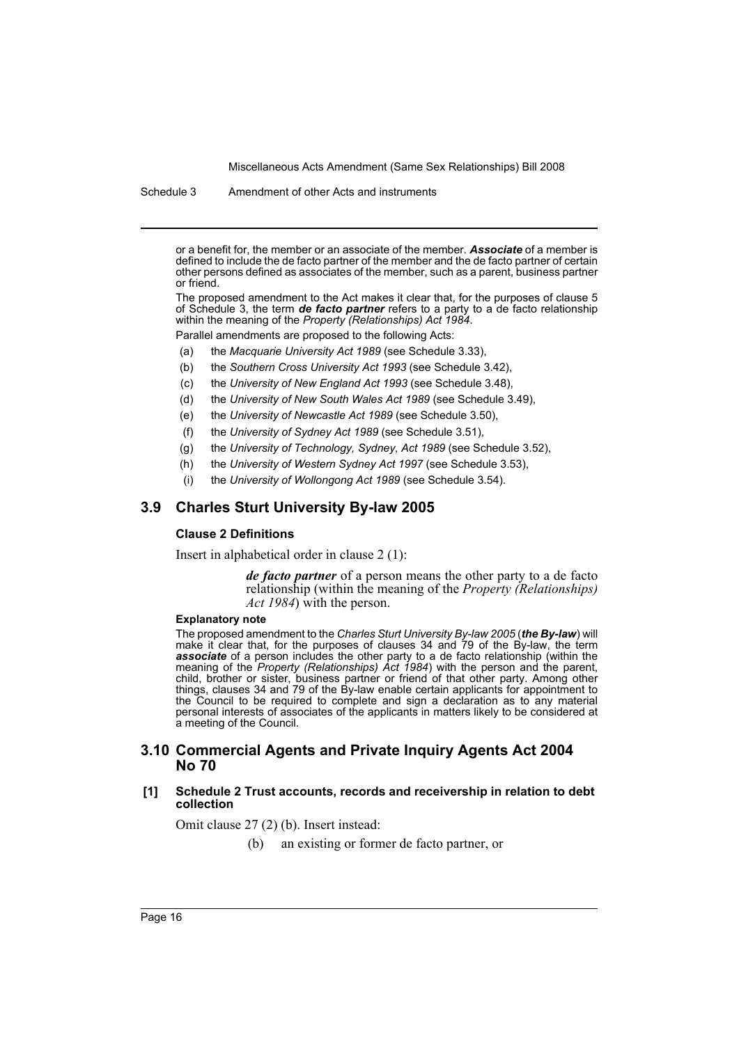Schedule 3 Amendment of other Acts and instruments

or a benefit for, the member or an associate of the member. *Associate* of a member is defined to include the de facto partner of the member and the de facto partner of certain other persons defined as associates of the member, such as a parent, business partner or friend.

The proposed amendment to the Act makes it clear that, for the purposes of clause 5 of Schedule 3, the term *de facto partner* refers to a party to a de facto relationship within the meaning of the *Property (Relationships) Act 1984*.

Parallel amendments are proposed to the following Acts:

- (a) the *Macquarie University Act 1989* (see Schedule 3.33),
- (b) the *Southern Cross University Act 1993* (see Schedule 3.42),
- (c) the *University of New England Act 1993* (see Schedule 3.48),
- (d) the *University of New South Wales Act 1989* (see Schedule 3.49),
- (e) the *University of Newcastle Act 1989* (see Schedule 3.50),
- (f) the *University of Sydney Act 1989* (see Schedule 3.51),
- (g) the *University of Technology, Sydney, Act 1989* (see Schedule 3.52),
- (h) the *University of Western Sydney Act 1997* (see Schedule 3.53),
- (i) the *University of Wollongong Act 1989* (see Schedule 3.54).

# **3.9 Charles Sturt University By-law 2005**

#### **Clause 2 Definitions**

Insert in alphabetical order in clause 2 (1):

*de facto partner* of a person means the other party to a de facto relationship (within the meaning of the *Property (Relationships) Act 1984*) with the person.

#### **Explanatory note**

The proposed amendment to the *Charles Sturt University By-law 2005* (*the By-law*) will make it clear that, for the purposes of clauses 34 and 79 of the By-law, the term *associate* of a person includes the other party to a de facto relationship (within the meaning of the *Property (Relationships) Act 1984*) with the person and the parent, child, brother or sister, business partner or friend of that other party. Among other things, clauses 34 and 79 of the By-law enable certain applicants for appointment to the Council to be required to complete and sign a declaration as to any material personal interests of associates of the applicants in matters likely to be considered at a meeting of the Council.

# **3.10 Commercial Agents and Private Inquiry Agents Act 2004 No 70**

#### **[1] Schedule 2 Trust accounts, records and receivership in relation to debt collection**

Omit clause 27 (2) (b). Insert instead:

(b) an existing or former de facto partner, or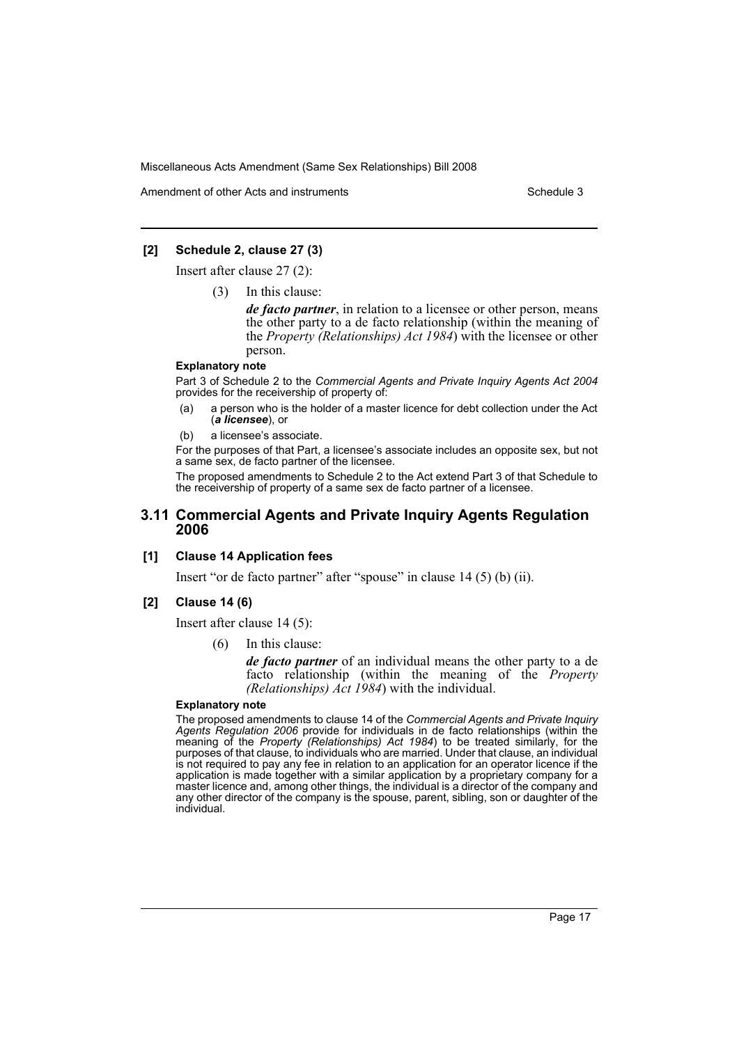Amendment of other Acts and instruments Schedule 3

# **[2] Schedule 2, clause 27 (3)**

Insert after clause 27 (2):

(3) In this clause:

*de facto partner*, in relation to a licensee or other person, means the other party to a de facto relationship (within the meaning of the *Property (Relationships) Act 1984*) with the licensee or other person.

#### **Explanatory note**

Part 3 of Schedule 2 to the *Commercial Agents and Private Inquiry Agents Act 2004* provides for the receivership of property of:

(a) a person who is the holder of a master licence for debt collection under the Act (*a licensee*), or

(b) a licensee's associate.

For the purposes of that Part, a licensee's associate includes an opposite sex, but not a same sex, de facto partner of the licensee.

The proposed amendments to Schedule 2 to the Act extend Part 3 of that Schedule to the receivership of property of a same sex de facto partner of a licensee.

# **3.11 Commercial Agents and Private Inquiry Agents Regulation 2006**

#### **[1] Clause 14 Application fees**

Insert "or de facto partner" after "spouse" in clause 14 (5) (b) (ii).

#### **[2] Clause 14 (6)**

Insert after clause 14 (5):

(6) In this clause:

*de facto partner* of an individual means the other party to a de facto relationship (within the meaning of the *Property (Relationships) Act 1984*) with the individual.

#### **Explanatory note**

The proposed amendments to clause 14 of the *Commercial Agents and Private Inquiry Agents Regulation 2006* provide for individuals in de facto relationships (within the meaning of the *Property (Relationships) Act 1984*) to be treated similarly, for the purposes of that clause, to individuals who are married. Under that clause, an individual is not required to pay any fee in relation to an application for an operator licence if the application is made together with a similar application by a proprietary company for a master licence and, among other things, the individual is a director of the company and any other director of the company is the spouse, parent, sibling, son or daughter of the individual.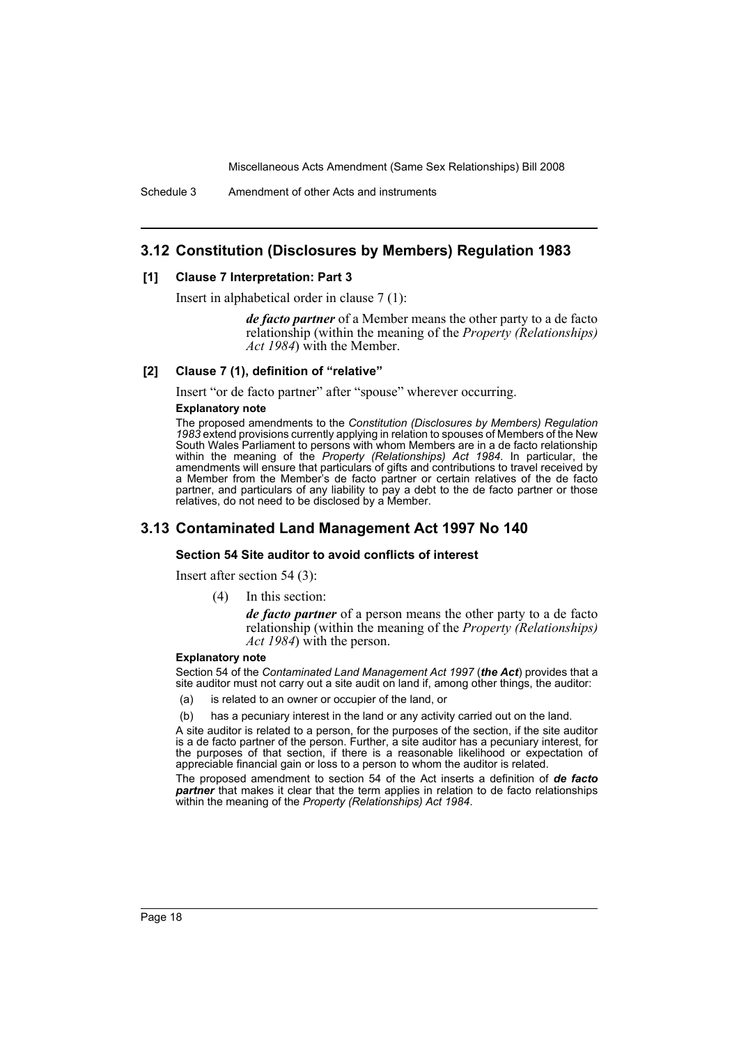Schedule 3 Amendment of other Acts and instruments

# **3.12 Constitution (Disclosures by Members) Regulation 1983**

#### **[1] Clause 7 Interpretation: Part 3**

Insert in alphabetical order in clause 7 (1):

*de facto partner* of a Member means the other party to a de facto relationship (within the meaning of the *Property (Relationships) Act 1984*) with the Member.

#### **[2] Clause 7 (1), definition of "relative"**

Insert "or de facto partner" after "spouse" wherever occurring.

#### **Explanatory note**

The proposed amendments to the *Constitution (Disclosures by Members) Regulation 1983* extend provisions currently applying in relation to spouses of Members of the New South Wales Parliament to persons with whom Members are in a de facto relationship within the meaning of the *Property (Relationships) Act 1984*. In particular, the amendments will ensure that particulars of gifts and contributions to travel received by a Member from the Member's de facto partner or certain relatives of the de facto partner, and particulars of any liability to pay a debt to the de facto partner or those relatives, do not need to be disclosed by a Member.

# **3.13 Contaminated Land Management Act 1997 No 140**

#### **Section 54 Site auditor to avoid conflicts of interest**

Insert after section 54 (3):

(4) In this section:

*de facto partner* of a person means the other party to a de facto relationship (within the meaning of the *Property (Relationships) Act 1984*) with the person.

#### **Explanatory note**

Section 54 of the *Contaminated Land Management Act 1997* (*the Act*) provides that a site auditor must not carry out a site audit on land if, among other things, the auditor:

(a) is related to an owner or occupier of the land, or

(b) has a pecuniary interest in the land or any activity carried out on the land.

A site auditor is related to a person, for the purposes of the section, if the site auditor is a de facto partner of the person. Further, a site auditor has a pecuniary interest, for the purposes of that section, if there is a reasonable likelihood or expectation of appreciable financial gain or loss to a person to whom the auditor is related.

The proposed amendment to section 54 of the Act inserts a definition of *de facto partner* that makes it clear that the term applies in relation to de facto relationships within the meaning of the *Property (Relationships) Act 1984*.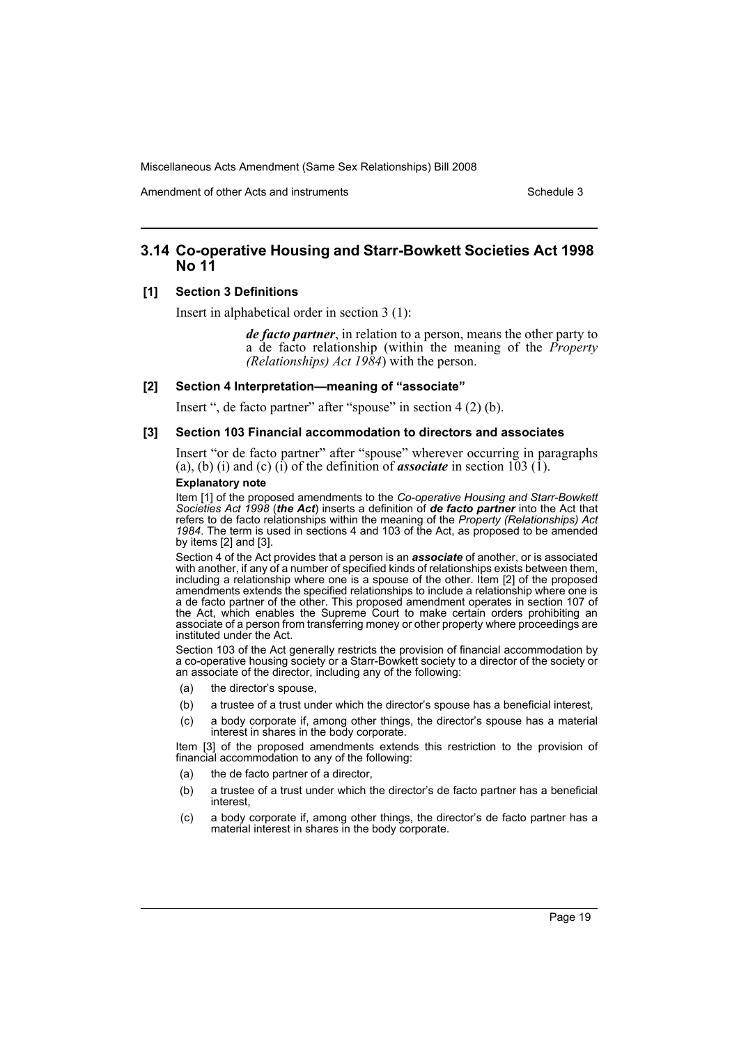Amendment of other Acts and instruments Schedule 3

# **3.14 Co-operative Housing and Starr-Bowkett Societies Act 1998 No 11**

#### **[1] Section 3 Definitions**

Insert in alphabetical order in section 3 (1):

*de facto partner*, in relation to a person, means the other party to a de facto relationship (within the meaning of the *Property (Relationships) Act 1984*) with the person.

#### **[2] Section 4 Interpretation—meaning of "associate"**

Insert ", de facto partner" after "spouse" in section 4 (2) (b).

#### **[3] Section 103 Financial accommodation to directors and associates**

Insert "or de facto partner" after "spouse" wherever occurring in paragraphs (a), (b) (i) and (c) (i) of the definition of **associate** in section 103 (1).

#### **Explanatory note**

Item [1] of the proposed amendments to the *Co-operative Housing and Starr-Bowkett Societies Act 1998* (*the Act*) inserts a definition of *de facto partner* into the Act that refers to de facto relationships within the meaning of the *Property (Relationships) Act 1984*. The term is used in sections 4 and 103 of the Act, as proposed to be amended by items [2] and [3].

Section 4 of the Act provides that a person is an *associate* of another, or is associated with another, if any of a number of specified kinds of relationships exists between them, including a relationship where one is a spouse of the other. Item [2] of the proposed amendments extends the specified relationships to include a relationship where one is a de facto partner of the other. This proposed amendment operates in section 107 of the Act, which enables the Supreme Court to make certain orders prohibiting an associate of a person from transferring money or other property where proceedings are instituted under the Act.

Section 103 of the Act generally restricts the provision of financial accommodation by a co-operative housing society or a Starr-Bowkett society to a director of the society or an associate of the director, including any of the following:

- (a) the director's spouse,
- (b) a trustee of a trust under which the director's spouse has a beneficial interest,
- (c) a body corporate if, among other things, the director's spouse has a material interest in shares in the body corporate.

Item [3] of the proposed amendments extends this restriction to the provision of financial accommodation to any of the following:

- (a) the de facto partner of a director,
- (b) a trustee of a trust under which the director's de facto partner has a beneficial interest,
- (c) a body corporate if, among other things, the director's de facto partner has a material interest in shares in the body corporate.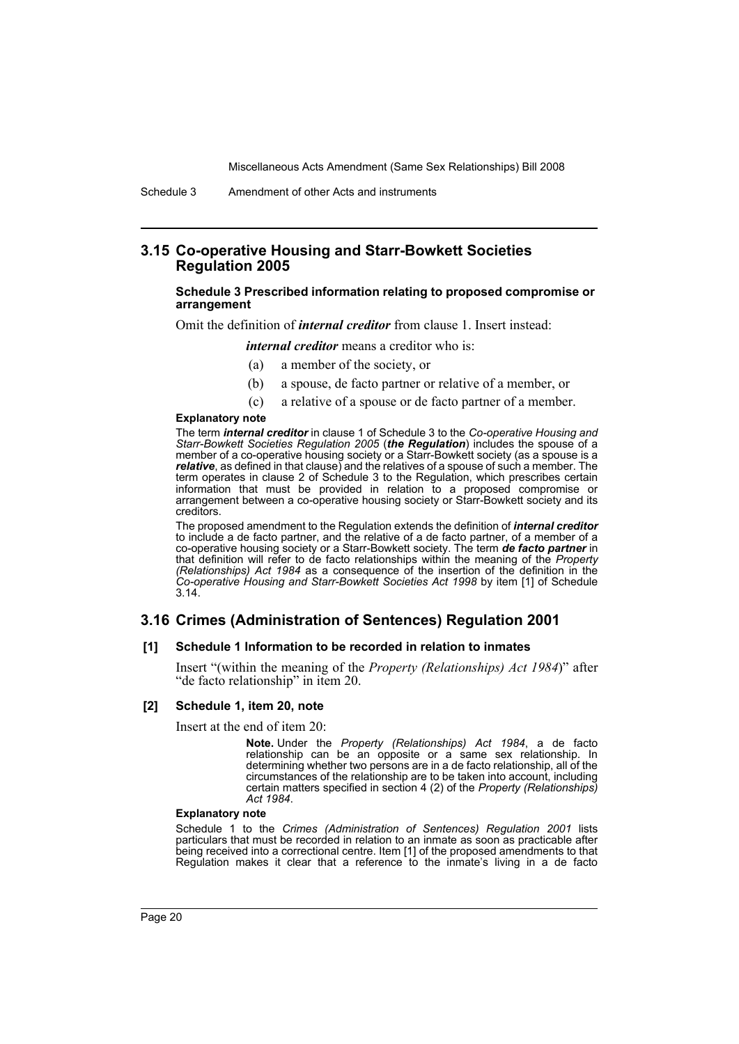Schedule 3 Amendment of other Acts and instruments

# **3.15 Co-operative Housing and Starr-Bowkett Societies Regulation 2005**

#### **Schedule 3 Prescribed information relating to proposed compromise or arrangement**

Omit the definition of *internal creditor* from clause 1. Insert instead:

*internal creditor* means a creditor who is:

- (a) a member of the society, or
- (b) a spouse, de facto partner or relative of a member, or
- (c) a relative of a spouse or de facto partner of a member.

#### **Explanatory note**

The term *internal creditor* in clause 1 of Schedule 3 to the *Co-operative Housing and Starr-Bowkett Societies Regulation 2005* (*the Regulation*) includes the spouse of a member of a co-operative housing society or a Starr-Bowkett society (as a spouse is a *relative*, as defined in that clause) and the relatives of a spouse of such a member. The term operates in clause 2 of Schedule 3 to the Regulation, which prescribes certain information that must be provided in relation to a proposed compromise or arrangement between a co-operative housing society or Starr-Bowkett society and its creditors.

The proposed amendment to the Regulation extends the definition of *internal creditor* to include a de facto partner, and the relative of a de facto partner, of a member of a co-operative housing society or a Starr-Bowkett society. The term *de facto partner* in that definition will refer to de facto relationships within the meaning of the *Property (Relationships) Act 1984* as a consequence of the insertion of the definition in the *Co-operative Housing and Starr-Bowkett Societies Act 1998* by item [1] of Schedule 3.14.

# **3.16 Crimes (Administration of Sentences) Regulation 2001**

#### **[1] Schedule 1 Information to be recorded in relation to inmates**

Insert "(within the meaning of the *Property (Relationships) Act 1984*)" after "de facto relationship" in item 20.

#### **[2] Schedule 1, item 20, note**

Insert at the end of item 20:

**Note.** Under the *Property (Relationships) Act 1984*, a de facto relationship can be an opposite or a same sex relationship. In determining whether two persons are in a de facto relationship, all of the circumstances of the relationship are to be taken into account, including certain matters specified in section 4 (2) of the *Property (Relationships) Act 1984*.

#### **Explanatory note**

Schedule 1 to the *Crimes (Administration of Sentences) Regulation 2001* lists particulars that must be recorded in relation to an inmate as soon as practicable after being received into a correctional centre. Item [1] of the proposed amendments to that Regulation makes it clear that a reference to the inmate's living in a de facto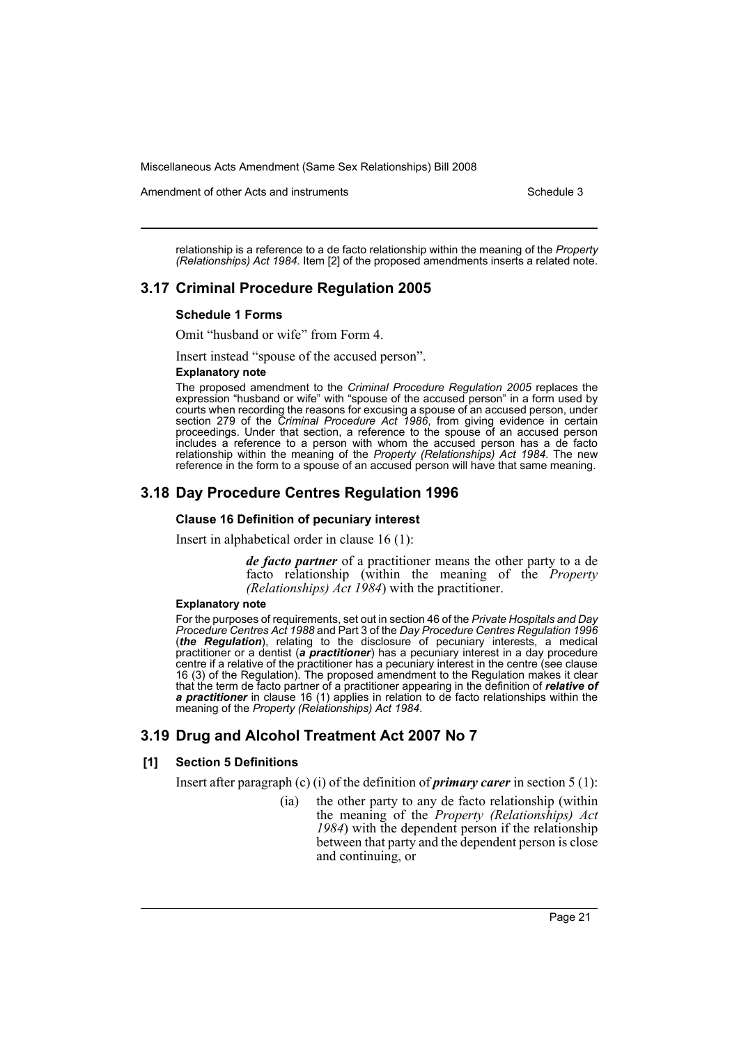Amendment of other Acts and instruments Schedule 3

relationship is a reference to a de facto relationship within the meaning of the *Property (Relationships) Act 1984*. Item [2] of the proposed amendments inserts a related note.

# **3.17 Criminal Procedure Regulation 2005**

#### **Schedule 1 Forms**

Omit "husband or wife" from Form 4.

Insert instead "spouse of the accused person".

#### **Explanatory note**

The proposed amendment to the *Criminal Procedure Regulation 2005* replaces the expression "husband or wife" with "spouse of the accused person" in a form used by courts when recording the reasons for excusing a spouse of an accused person, under section 279 of the *Criminal Procedure Act 1986*, from giving evidence in certain proceedings. Under that section, a reference to the spouse of an accused person includes a reference to a person with whom the accused person has a de facto relationship within the meaning of the *Property (Relationships) Act 1984*. The new reference in the form to a spouse of an accused person will have that same meaning.

# **3.18 Day Procedure Centres Regulation 1996**

# **Clause 16 Definition of pecuniary interest**

Insert in alphabetical order in clause 16 (1):

*de facto partner* of a practitioner means the other party to a de facto relationship (within the meaning of the *Property (Relationships) Act 1984*) with the practitioner.

#### **Explanatory note**

For the purposes of requirements, set out in section 46 of the *Private Hospitals and Day Procedure Centres Act 1988* and Part 3 of the *Day Procedure Centres Regulation 1996* (*the Regulation*), relating to the disclosure of pecuniary interests, a medical practitioner or a dentist (*a practitioner*) has a pecuniary interest in a day procedure centre if a relative of the practitioner has a pecuniary interest in the centre (see clause 16 (3) of the Regulation). The proposed amendment to the Regulation makes it clear that the term de facto partner of a practitioner appearing in the definition of *relative of a practitioner* in clause 16 (1) applies in relation to de facto relationships within the meaning of the *Property (Relationships) Act 1984*.

# **3.19 Drug and Alcohol Treatment Act 2007 No 7**

# **[1] Section 5 Definitions**

Insert after paragraph (c) (i) of the definition of *primary carer* in section 5 (1):

(ia) the other party to any de facto relationship (within the meaning of the *Property (Relationships) Act 1984*) with the dependent person if the relationship between that party and the dependent person is close and continuing, or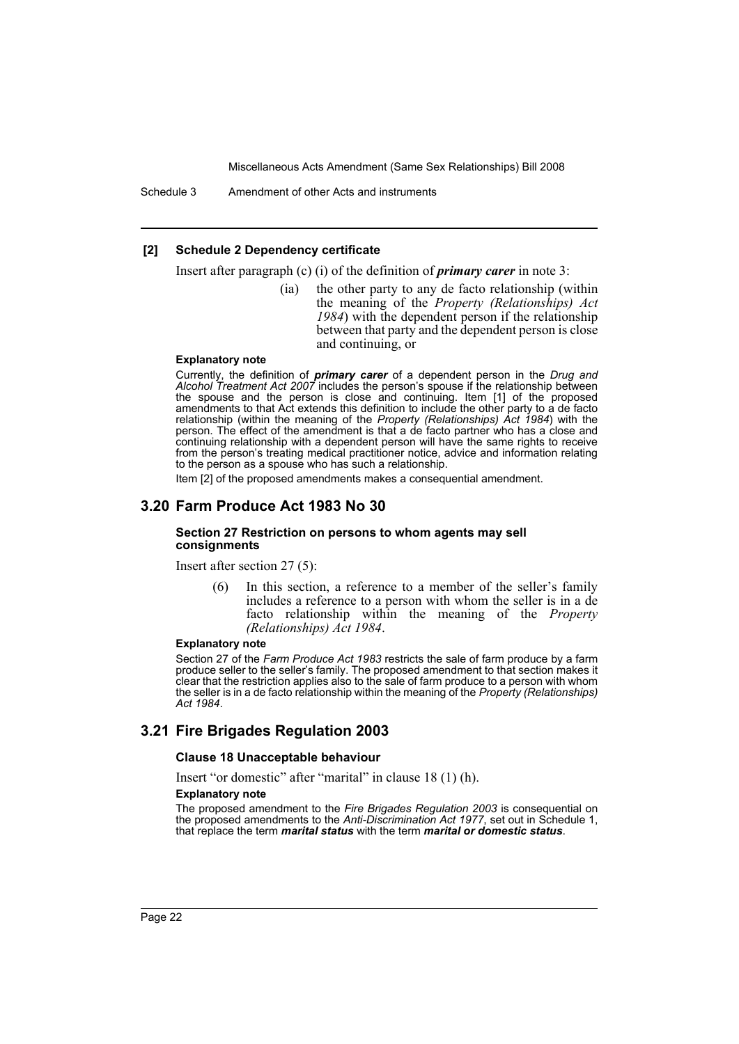Schedule 3 Amendment of other Acts and instruments

#### **[2] Schedule 2 Dependency certificate**

Insert after paragraph (c) (i) of the definition of *primary carer* in note 3:

(ia) the other party to any de facto relationship (within the meaning of the *Property (Relationships) Act 1984*) with the dependent person if the relationship between that party and the dependent person is close and continuing, or

#### **Explanatory note**

Currently, the definition of *primary carer* of a dependent person in the *Drug and Alcohol Treatment Act 2007* includes the person's spouse if the relationship between the spouse and the person is close and continuing. Item [1] of the proposed amendments to that Act extends this definition to include the other party to a de facto relationship (within the meaning of the *Property (Relationships) Act 1984*) with the person. The effect of the amendment is that a de facto partner who has a close and continuing relationship with a dependent person will have the same rights to receive from the person's treating medical practitioner notice, advice and information relating to the person as a spouse who has such a relationship.

Item [2] of the proposed amendments makes a consequential amendment.

# **3.20 Farm Produce Act 1983 No 30**

#### **Section 27 Restriction on persons to whom agents may sell consignments**

Insert after section 27 (5):

In this section, a reference to a member of the seller's family includes a reference to a person with whom the seller is in a de facto relationship within the meaning of the *Property (Relationships) Act 1984*.

#### **Explanatory note**

Section 27 of the *Farm Produce Act 1983* restricts the sale of farm produce by a farm produce seller to the seller's family. The proposed amendment to that section makes it clear that the restriction applies also to the sale of farm produce to a person with whom the seller is in a de facto relationship within the meaning of the *Property (Relationships) Act 1984*.

# **3.21 Fire Brigades Regulation 2003**

#### **Clause 18 Unacceptable behaviour**

Insert "or domestic" after "marital" in clause 18 (1) (h).

#### **Explanatory note**

The proposed amendment to the *Fire Brigades Regulation 2003* is consequential on the proposed amendments to the *Anti-Discrimination Act 1977*, set out in Schedule 1, that replace the term *marital status* with the term *marital or domestic status*.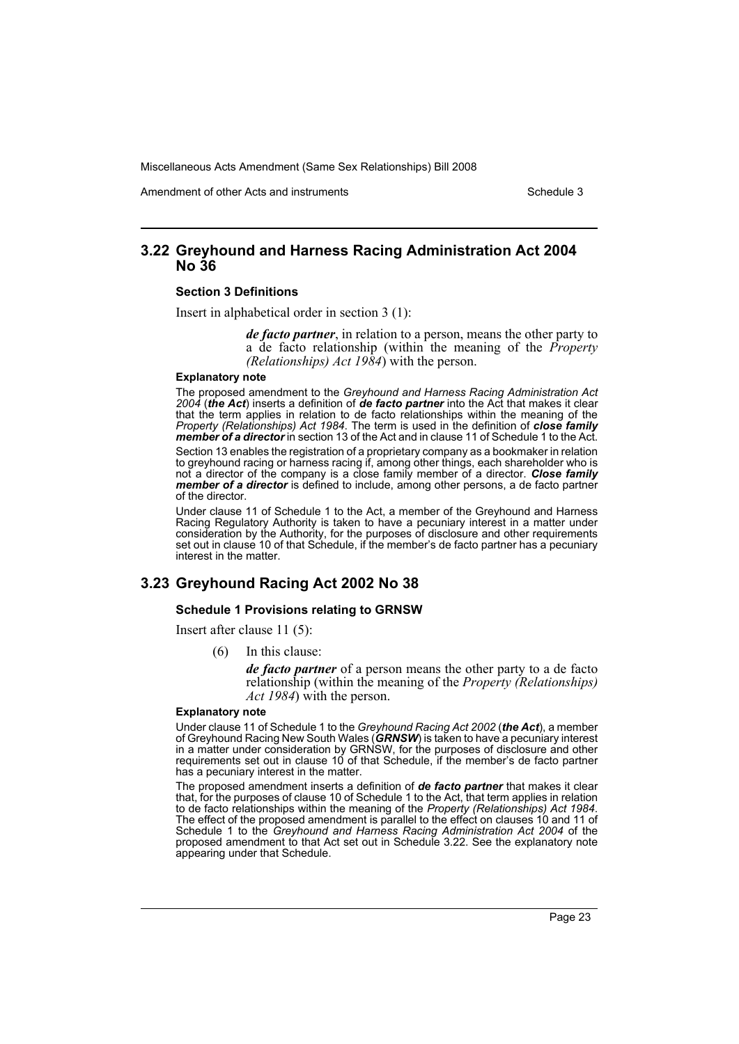Amendment of other Acts and instruments Schedule 3

# **3.22 Greyhound and Harness Racing Administration Act 2004 No 36**

#### **Section 3 Definitions**

Insert in alphabetical order in section 3 (1):

*de facto partner*, in relation to a person, means the other party to a de facto relationship (within the meaning of the *Property (Relationships) Act 1984*) with the person.

#### **Explanatory note**

The proposed amendment to the *Greyhound and Harness Racing Administration Act 2004* (*the Act*) inserts a definition of *de facto partner* into the Act that makes it clear that the term applies in relation to de facto relationships within the meaning of the *Property (Relationships) Act 1984*. The term is used in the definition of *close family member of a director* in section 13 of the Act and in clause 11 of Schedule 1 to the Act.

Section 13 enables the registration of a proprietary company as a bookmaker in relation to greyhound racing or harness racing if, among other things, each shareholder who is not a director of the company is a close family member of a director. *Close family member of a director* is defined to include, among other persons, a de facto partner of the director.

Under clause 11 of Schedule 1 to the Act, a member of the Greyhound and Harness Racing Regulatory Authority is taken to have a pecuniary interest in a matter under consideration by the Authority, for the purposes of disclosure and other requirements set out in clause 10 of that Schedule, if the member's de facto partner has a pecuniary interest in the matter.

# **3.23 Greyhound Racing Act 2002 No 38**

#### **Schedule 1 Provisions relating to GRNSW**

Insert after clause 11 (5):

(6) In this clause:

*de facto partner* of a person means the other party to a de facto relationship (within the meaning of the *Property (Relationships) Act 1984*) with the person.

#### **Explanatory note**

Under clause 11 of Schedule 1 to the *Greyhound Racing Act 2002* (*the Act*), a member of Greyhound Racing New South Wales (*GRNSW*) is taken to have a pecuniary interest in a matter under consideration by GRNSW, for the purposes of disclosure and other requirements set out in clause 10 of that Schedule, if the member's de facto partner has a pecuniary interest in the matter.

The proposed amendment inserts a definition of *de facto partner* that makes it clear that, for the purposes of clause 10 of Schedule 1 to the Act, that term applies in relation to de facto relationships within the meaning of the *Property (Relationships) Act 1984*. The effect of the proposed amendment is parallel to the effect on clauses 10 and 11 of Schedule 1 to the *Greyhound and Harness Racing Administration Act 2004* of the proposed amendment to that Act set out in Schedule 3.22. See the explanatory note appearing under that Schedule.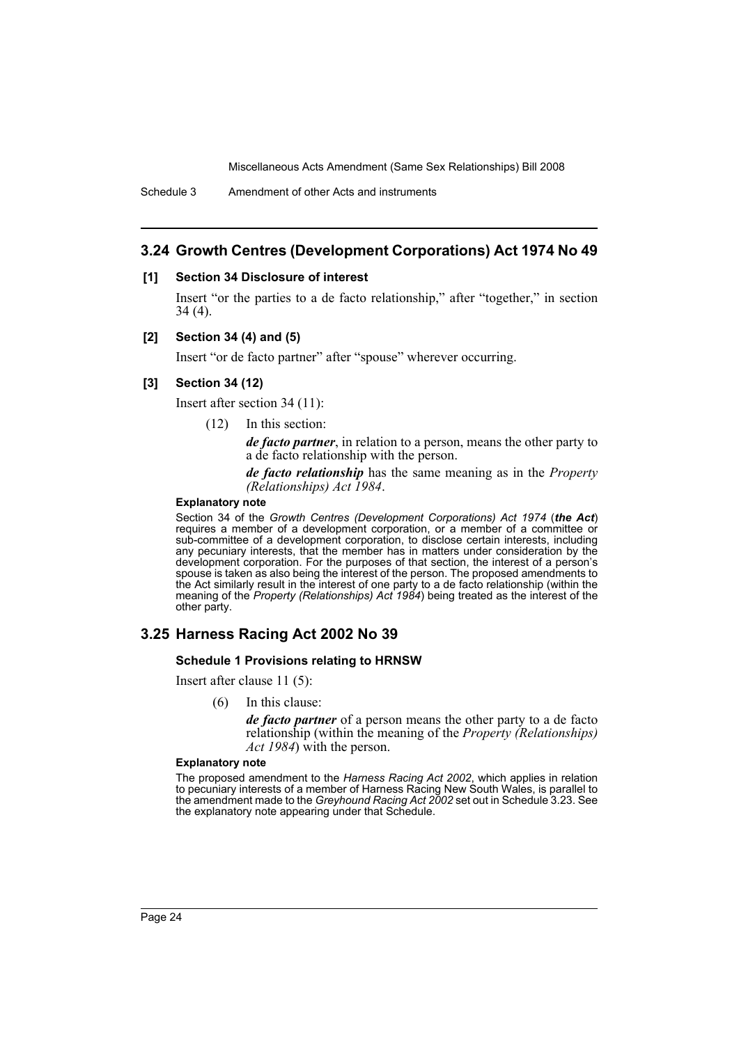Schedule 3 Amendment of other Acts and instruments

# **3.24 Growth Centres (Development Corporations) Act 1974 No 49**

#### **[1] Section 34 Disclosure of interest**

Insert "or the parties to a de facto relationship," after "together," in section 34 (4).

#### **[2] Section 34 (4) and (5)**

Insert "or de facto partner" after "spouse" wherever occurring.

#### **[3] Section 34 (12)**

Insert after section 34 (11):

(12) In this section:

*de facto partner*, in relation to a person, means the other party to a de facto relationship with the person.

*de facto relationship* has the same meaning as in the *Property (Relationships) Act 1984*.

#### **Explanatory note**

Section 34 of the *Growth Centres (Development Corporations) Act 1974* (*the Act*) requires a member of a development corporation, or a member of a committee or sub-committee of a development corporation, to disclose certain interests, including any pecuniary interests, that the member has in matters under consideration by the development corporation. For the purposes of that section, the interest of a person's spouse is taken as also being the interest of the person. The proposed amendments to the Act similarly result in the interest of one party to a de facto relationship (within the meaning of the *Property (Relationships) Act 1984*) being treated as the interest of the other party.

# **3.25 Harness Racing Act 2002 No 39**

#### **Schedule 1 Provisions relating to HRNSW**

Insert after clause 11 (5):

(6) In this clause:

*de facto partner* of a person means the other party to a de facto relationship (within the meaning of the *Property (Relationships) Act 1984*) with the person.

#### **Explanatory note**

The proposed amendment to the *Harness Racing Act 2002*, which applies in relation to pecuniary interests of a member of Harness Racing New South Wales, is parallel to the amendment made to the *Greyhound Racing Act 2002* set out in Schedule 3.23. See the explanatory note appearing under that Schedule.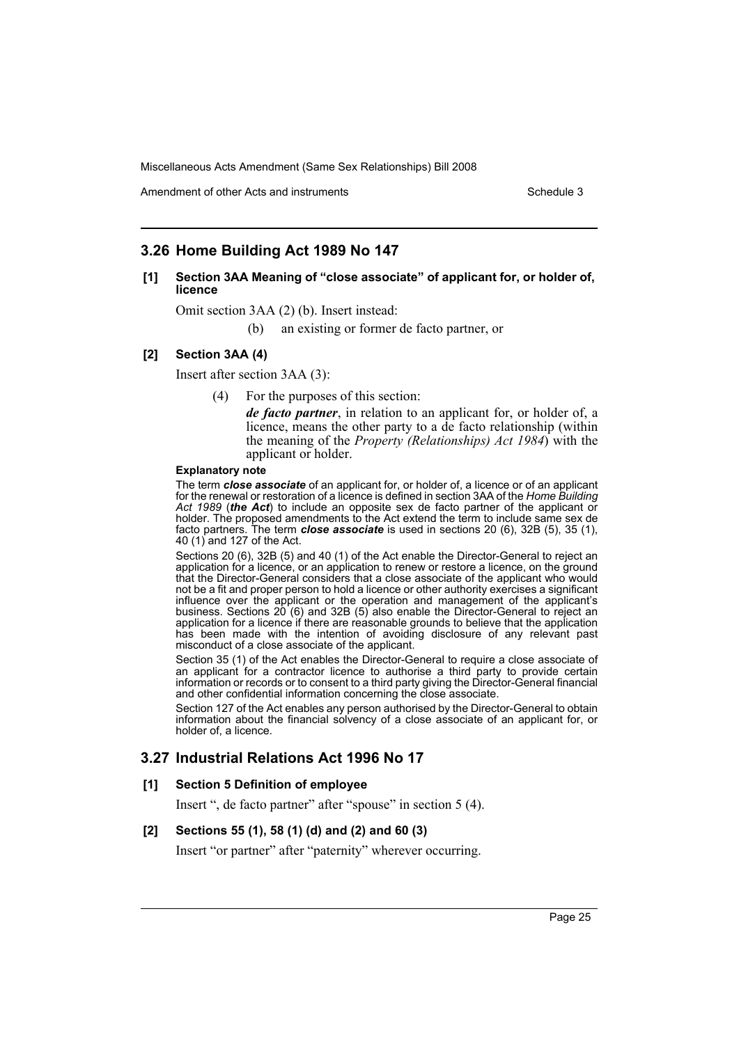Amendment of other Acts and instruments Schedule 3

# **3.26 Home Building Act 1989 No 147**

#### **[1] Section 3AA Meaning of "close associate" of applicant for, or holder of, licence**

Omit section 3AA (2) (b). Insert instead:

(b) an existing or former de facto partner, or

#### **[2] Section 3AA (4)**

Insert after section 3AA (3):

(4) For the purposes of this section:

*de facto partner*, in relation to an applicant for, or holder of, a licence, means the other party to a de facto relationship (within the meaning of the *Property (Relationships) Act 1984*) with the applicant or holder.

#### **Explanatory note**

The term *close associate* of an applicant for, or holder of, a licence or of an applicant for the renewal or restoration of a licence is defined in section 3AA of the *Home Building Act 1989* (*the Act*) to include an opposite sex de facto partner of the applicant or holder. The proposed amendments to the Act extend the term to include same sex de facto partners. The term *close associate* is used in sections 20 (6), 32B (5), 35 (1), 40 (1) and 127 of the Act.

Sections 20 (6), 32B (5) and 40 (1) of the Act enable the Director-General to reject an application for a licence, or an application to renew or restore a licence, on the ground that the Director-General considers that a close associate of the applicant who would not be a fit and proper person to hold a licence or other authority exercises a significant influence over the applicant or the operation and management of the applicant's business. Sections 20 (6) and 32B (5) also enable the Director-General to reject an application for a licence if there are reasonable grounds to believe that the application has been made with the intention of avoiding disclosure of any relevant past misconduct of a close associate of the applicant.

Section 35 (1) of the Act enables the Director-General to require a close associate of an applicant for a contractor licence to authorise a third party to provide certain information or records or to consent to a third party giving the Director-General financial and other confidential information concerning the close associate.

Section 127 of the Act enables any person authorised by the Director-General to obtain information about the financial solvency of a close associate of an applicant for, or holder of, a licence.

# **3.27 Industrial Relations Act 1996 No 17**

### **[1] Section 5 Definition of employee**

Insert ", de facto partner" after "spouse" in section 5 (4).

#### **[2] Sections 55 (1), 58 (1) (d) and (2) and 60 (3)**

Insert "or partner" after "paternity" wherever occurring.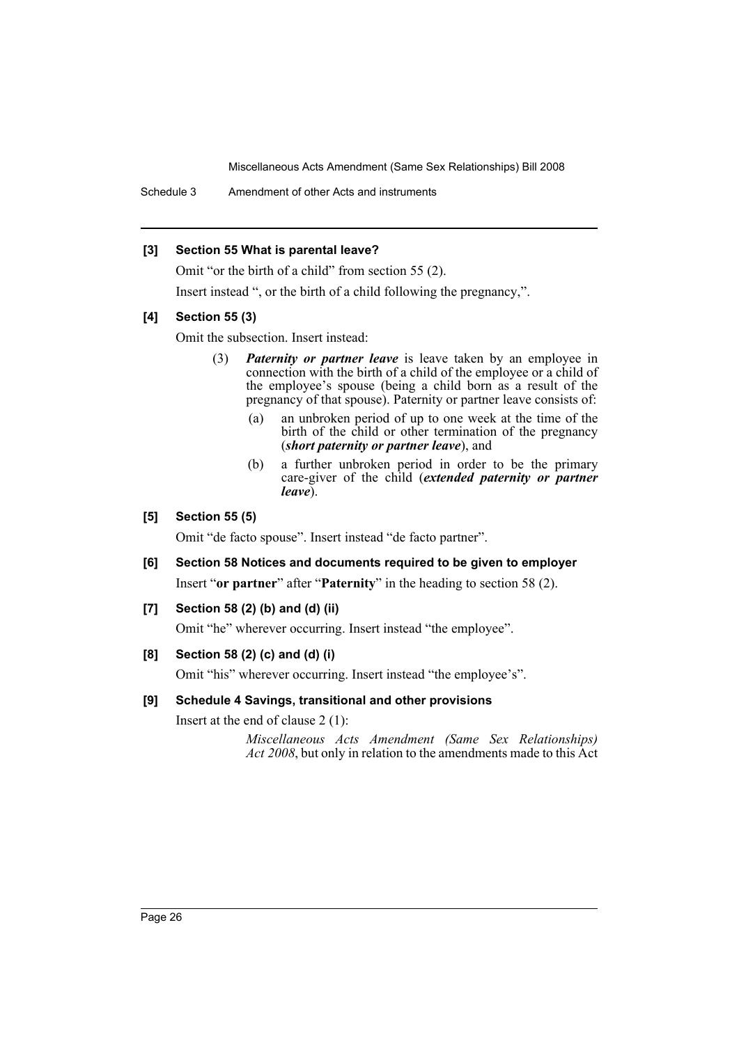Schedule 3 Amendment of other Acts and instruments

# **[3] Section 55 What is parental leave?**

Omit "or the birth of a child" from section 55 (2). Insert instead ", or the birth of a child following the pregnancy,".

# **[4] Section 55 (3)**

Omit the subsection. Insert instead:

- (3) *Paternity or partner leave* is leave taken by an employee in connection with the birth of a child of the employee or a child of the employee's spouse (being a child born as a result of the pregnancy of that spouse). Paternity or partner leave consists of:
	- (a) an unbroken period of up to one week at the time of the birth of the child or other termination of the pregnancy (*short paternity or partner leave*), and
	- (b) a further unbroken period in order to be the primary care-giver of the child (*extended paternity or partner leave*).

# **[5] Section 55 (5)**

Omit "de facto spouse". Insert instead "de facto partner".

- **[6] Section 58 Notices and documents required to be given to employer** Insert "**or partner**" after "**Paternity**" in the heading to section 58 (2).
- 
- **[7] Section 58 (2) (b) and (d) (ii)**

Omit "he" wherever occurring. Insert instead "the employee".

# **[8] Section 58 (2) (c) and (d) (i)**

Omit "his" wherever occurring. Insert instead "the employee's".

# **[9] Schedule 4 Savings, transitional and other provisions**

Insert at the end of clause 2 (1):

*Miscellaneous Acts Amendment (Same Sex Relationships) Act 2008*, but only in relation to the amendments made to this Act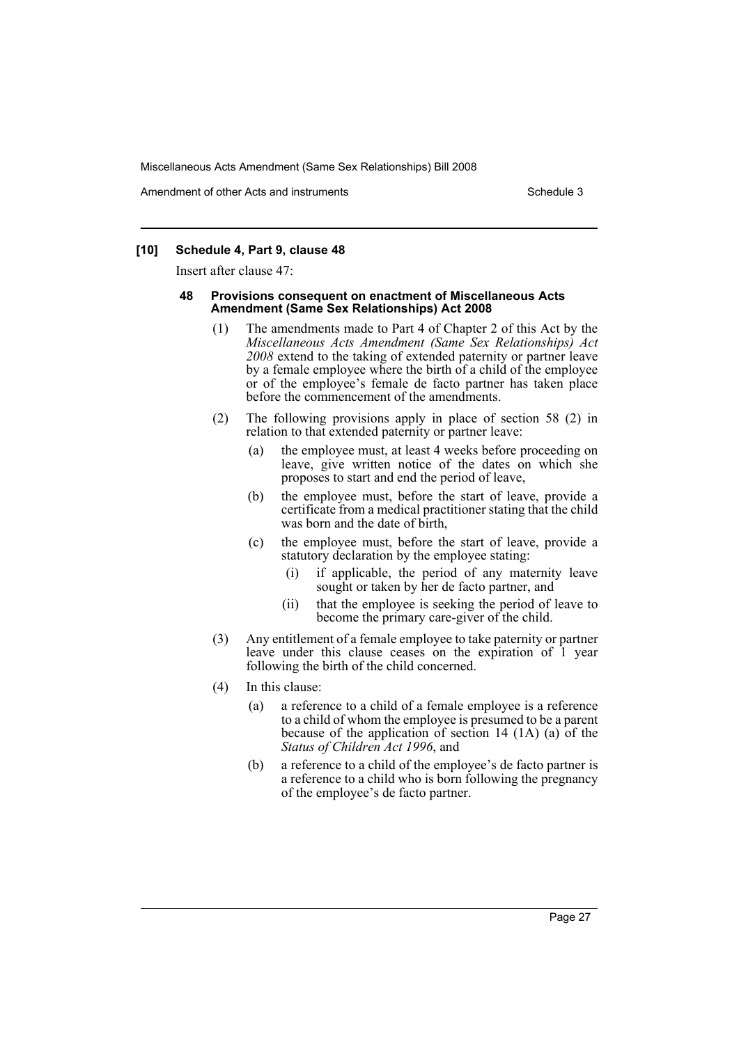Amendment of other Acts and instruments Schedule 3

# **[10] Schedule 4, Part 9, clause 48**

Insert after clause 47:

#### **48 Provisions consequent on enactment of Miscellaneous Acts Amendment (Same Sex Relationships) Act 2008**

- (1) The amendments made to Part 4 of Chapter 2 of this Act by the *Miscellaneous Acts Amendment (Same Sex Relationships) Act 2008* extend to the taking of extended paternity or partner leave by a female employee where the birth of a child of the employee or of the employee's female de facto partner has taken place before the commencement of the amendments.
- (2) The following provisions apply in place of section 58 (2) in relation to that extended paternity or partner leave:
	- (a) the employee must, at least 4 weeks before proceeding on leave, give written notice of the dates on which she proposes to start and end the period of leave,
	- (b) the employee must, before the start of leave, provide a certificate from a medical practitioner stating that the child was born and the date of birth,
	- (c) the employee must, before the start of leave, provide a statutory declaration by the employee stating:
		- (i) if applicable, the period of any maternity leave sought or taken by her de facto partner, and
		- (ii) that the employee is seeking the period of leave to become the primary care-giver of the child.
- (3) Any entitlement of a female employee to take paternity or partner leave under this clause ceases on the expiration of 1 year following the birth of the child concerned.
- (4) In this clause:
	- (a) a reference to a child of a female employee is a reference to a child of whom the employee is presumed to be a parent because of the application of section 14  $(1A)$  (a) of the *Status of Children Act 1996*, and
	- (b) a reference to a child of the employee's de facto partner is a reference to a child who is born following the pregnancy of the employee's de facto partner.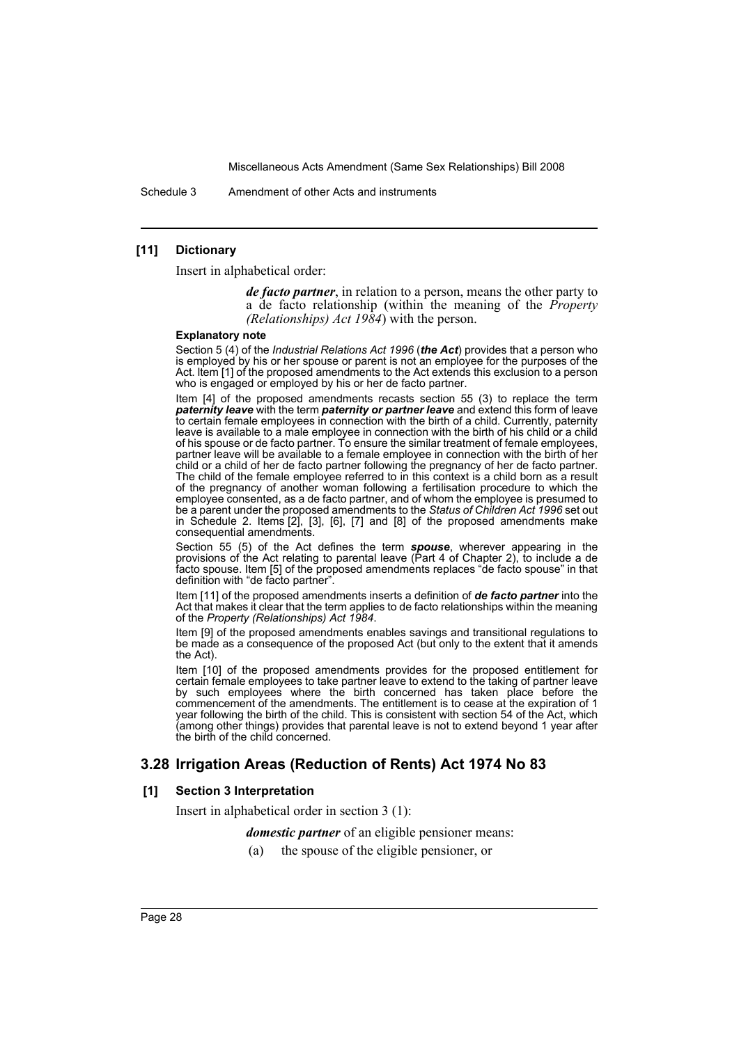Schedule 3 Amendment of other Acts and instruments

#### **[11] Dictionary**

Insert in alphabetical order:

*de facto partner*, in relation to a person, means the other party to a de facto relationship (within the meaning of the *Property (Relationships) Act 1984*) with the person.

#### **Explanatory note**

Section 5 (4) of the *Industrial Relations Act 1996* (*the Act*) provides that a person who is employed by his or her spouse or parent is not an employee for the purposes of the Act. ltem [1] of the proposed amendments to the Act extends this exclusion to a person who is engaged or employed by his or her de facto partner.

Item [4] of the proposed amendments recasts section 55 (3) to replace the term *paternity leave* with the term *paternity or partner leave* and extend this form of leave to certain female employees in connection with the birth of a child. Currently, paternity leave is available to a male employee in connection with the birth of his child or a child of his spouse or de facto partner. To ensure the similar treatment of female employees, partner leave will be available to a female employee in connection with the birth of her child or a child of her de facto partner following the pregnancy of her de facto partner. The child of the female employee referred to in this context is a child born as a result of the pregnancy of another woman following a fertilisation procedure to which the employee consented, as a de facto partner, and of whom the employee is presumed to be a parent under the proposed amendments to the *Status of Children Act 1996* set out in Schedule 2. Items [2], [3], [6], [7] and [8] of the proposed amendments make consequential amendments.

Section 55 (5) of the Act defines the term *spouse*, wherever appearing in the provisions of the Act relating to parental leave (Part 4 of Chapter 2), to include a de facto spouse. Item [5] of the proposed amendments replaces "de facto spouse" in that definition with "de facto partner".

Item [11] of the proposed amendments inserts a definition of *de facto partner* into the Act that makes it clear that the term applies to de facto relationships within the meaning of the *Property (Relationships) Act 1984*.

Item [9] of the proposed amendments enables savings and transitional regulations to be made as a consequence of the proposed Act (but only to the extent that it amends the Act).

Item [10] of the proposed amendments provides for the proposed entitlement for certain female employees to take partner leave to extend to the taking of partner leave by such employees where the birth concerned has taken place before the commencement of the amendments. The entitlement is to cease at the expiration of 1 year following the birth of the child. This is consistent with section 54 of the Act, which (among other things) provides that parental leave is not to extend beyond 1 year after the birth of the child concerned.

# **3.28 Irrigation Areas (Reduction of Rents) Act 1974 No 83**

# **[1] Section 3 Interpretation**

Insert in alphabetical order in section 3 (1):

*domestic partner* of an eligible pensioner means:

(a) the spouse of the eligible pensioner, or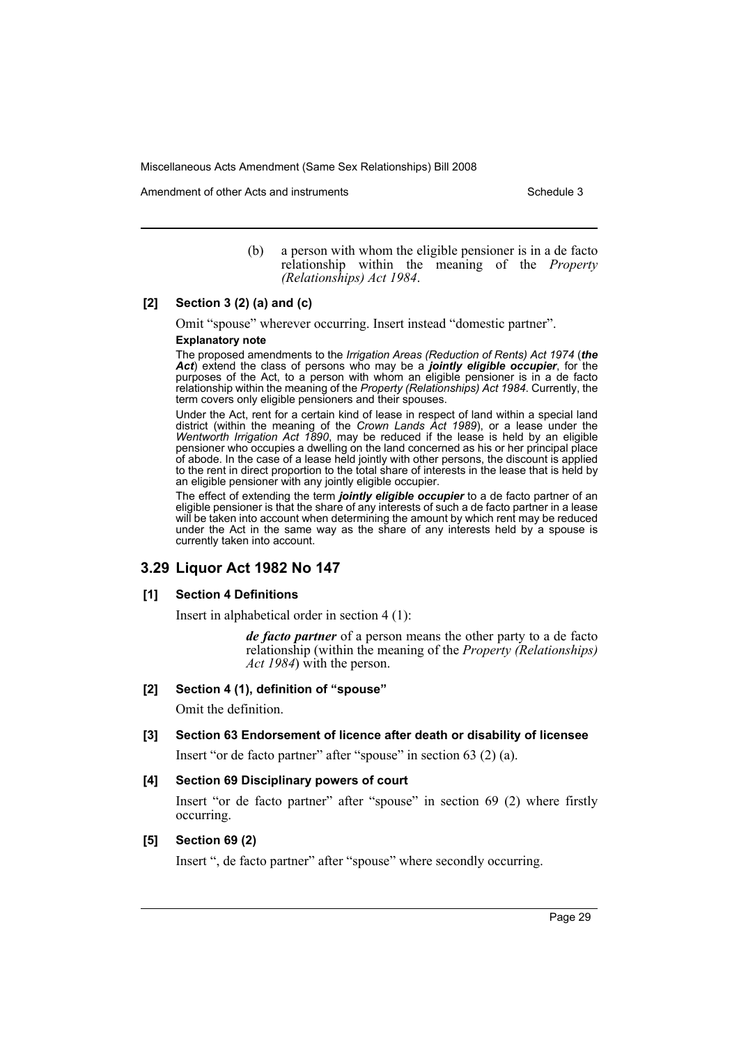Amendment of other Acts and instruments Schedule 3

(b) a person with whom the eligible pensioner is in a de facto relationship within the meaning of the *Property (Relationships) Act 1984*.

# **[2] Section 3 (2) (a) and (c)**

Omit "spouse" wherever occurring. Insert instead "domestic partner".

# **Explanatory note**

The proposed amendments to the *Irrigation Areas (Reduction of Rents) Act 1974* (*the Act*) extend the class of persons who may be a *jointly eligible occupier*, for the purposes of the Act, to a person with whom an eligible pensioner is in a de facto relationship within the meaning of the *Property (Relationships) Act 1984*. Currently, the term covers only eligible pensioners and their spouses.

Under the Act, rent for a certain kind of lease in respect of land within a special land district (within the meaning of the *Crown Lands Act 1989*), or a lease under the *Wentworth Irrigation Act 1890*, may be reduced if the lease is held by an eligible pensioner who occupies a dwelling on the land concerned as his or her principal place of abode. In the case of a lease held jointly with other persons, the discount is applied to the rent in direct proportion to the total share of interests in the lease that is held by an eligible pensioner with any jointly eligible occupier.

The effect of extending the term *jointly eligible occupier* to a de facto partner of an eligible pensioner is that the share of any interests of such a de facto partner in a lease will be taken into account when determining the amount by which rent may be reduced under the Act in the same way as the share of any interests held by a spouse is currently taken into account.

# **3.29 Liquor Act 1982 No 147**

# **[1] Section 4 Definitions**

Insert in alphabetical order in section 4 (1):

*de facto partner* of a person means the other party to a de facto relationship (within the meaning of the *Property (Relationships) Act 1984*) with the person.

#### **[2] Section 4 (1), definition of "spouse"**

Omit the definition.

#### **[3] Section 63 Endorsement of licence after death or disability of licensee**

Insert "or de facto partner" after "spouse" in section 63 (2) (a).

# **[4] Section 69 Disciplinary powers of court**

Insert "or de facto partner" after "spouse" in section 69 (2) where firstly occurring.

# **[5] Section 69 (2)**

Insert ", de facto partner" after "spouse" where secondly occurring.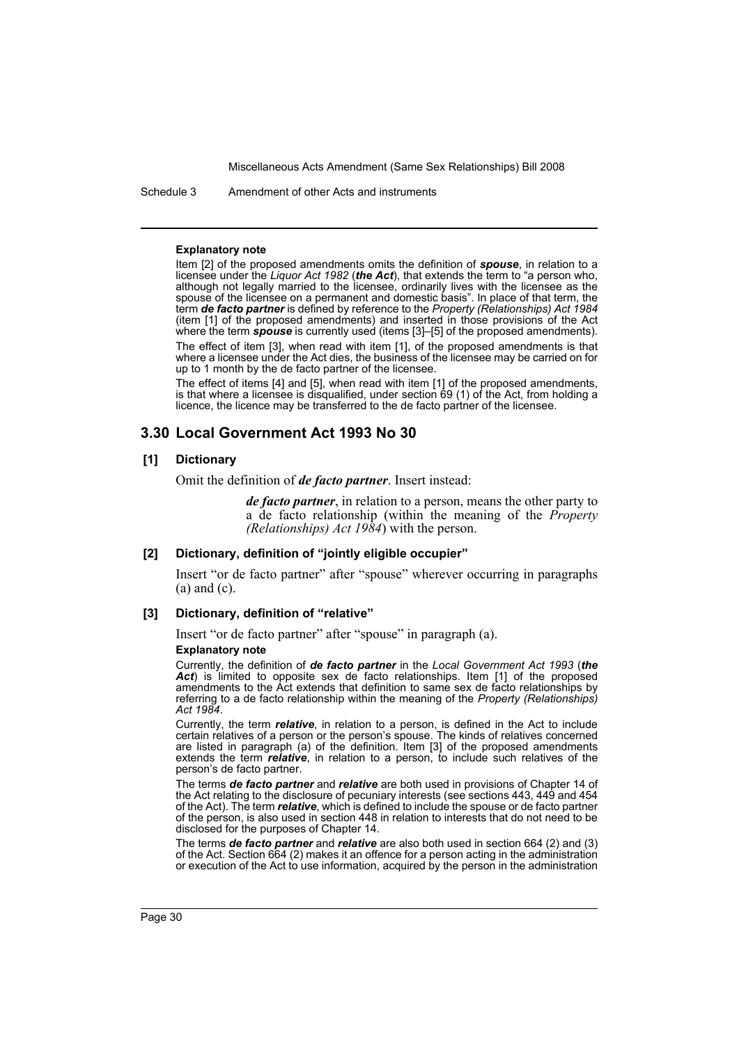Schedule 3 Amendment of other Acts and instruments

#### **Explanatory note**

Item [2] of the proposed amendments omits the definition of *spouse*, in relation to a licensee under the *Liquor Act 1982* (*the Act*), that extends the term to "a person who, although not legally married to the licensee, ordinarily lives with the licensee as the spouse of the licensee on a permanent and domestic basis". In place of that term, the term *de facto partner* is defined by reference to the *Property (Relationships) Act 1984* (item [1] of the proposed amendments) and inserted in those provisions of the Act where the term *spouse* is currently used (items [3]–[5] of the proposed amendments).

The effect of item [3], when read with item [1], of the proposed amendments is that where a licensee under the Act dies, the business of the licensee may be carried on for up to 1 month by the de facto partner of the licensee.

The effect of items [4] and [5], when read with item [1] of the proposed amendments, is that where a licensee is disqualified, under section 69 (1) of the Act, from holding a licence, the licence may be transferred to the de facto partner of the licensee.

# **3.30 Local Government Act 1993 No 30**

### **[1] Dictionary**

Omit the definition of *de facto partner*. Insert instead:

*de facto partner*, in relation to a person, means the other party to a de facto relationship (within the meaning of the *Property (Relationships) Act 1984*) with the person.

#### **[2] Dictionary, definition of "jointly eligible occupier"**

Insert "or de facto partner" after "spouse" wherever occurring in paragraphs (a) and (c).

#### **[3] Dictionary, definition of "relative"**

Insert "or de facto partner" after "spouse" in paragraph (a).

#### **Explanatory note**

Currently, the definition of *de facto partner* in the *Local Government Act 1993* (*the Act*) is limited to opposite sex de facto relationships. Item [1] of the proposed amendments to the Act extends that definition to same sex de facto relationships by referring to a de facto relationship within the meaning of the *Property (Relationships) Act 1984*.

Currently, the term *relative*, in relation to a person, is defined in the Act to include certain relatives of a person or the person's spouse. The kinds of relatives concerned are listed in paragraph (a) of the definition. Item [3] of the proposed amendments extends the term *relative*, in relation to a person, to include such relatives of the person's de facto partner.

The terms *de facto partner* and *relative* are both used in provisions of Chapter 14 of the Act relating to the disclosure of pecuniary interests (see sections 443, 449 and 454 of the Act). The term *relative*, which is defined to include the spouse or de facto partner of the person, is also used in section 448 in relation to interests that do not need to be disclosed for the purposes of Chapter 14.

The terms *de facto partner* and *relative* are also both used in section 664 (2) and (3) of the Act. Section 664 (2) makes it an offence for a person acting in the administration or execution of the Act to use information, acquired by the person in the administration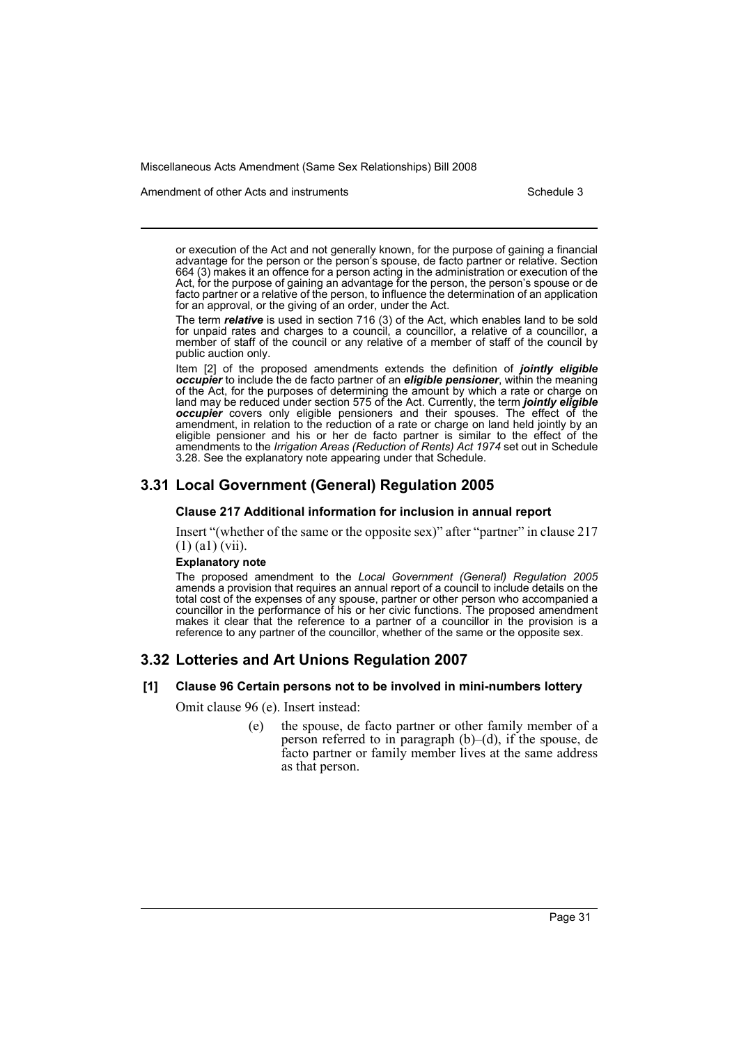Amendment of other Acts and instruments Schedule 3

or execution of the Act and not generally known, for the purpose of gaining a financial advantage for the person or the person's spouse, de facto partner or relative. Section 664 (3) makes it an offence for a person acting in the administration or execution of the Act, for the purpose of gaining an advantage for the person, the person's spouse or de facto partner or a relative of the person, to influence the determination of an application for an approval, or the giving of an order, under the Act.

The term *relative* is used in section 716 (3) of the Act, which enables land to be sold for unpaid rates and charges to a council, a councillor, a relative of a councillor, a member of staff of the council or any relative of a member of staff of the council by public auction only.

Item [2] of the proposed amendments extends the definition of *jointly eligible occupier* to include the de facto partner of an *eligible pensioner*, within the meaning of the Act, for the purposes of determining the amount by which a rate or charge on land may be reduced under section 575 of the Act. Currently, the term *jointly eligible occupier* covers only eligible pensioners and their spouses. The effect of the amendment, in relation to the reduction of a rate or charge on land held jointly by an eligible pensioner and his or her de facto partner is similar to the effect of the amendments to the *Irrigation Areas (Reduction of Rents) Act 1974* set out in Schedule 3.28. See the explanatory note appearing under that Schedule.

# **3.31 Local Government (General) Regulation 2005**

# **Clause 217 Additional information for inclusion in annual report**

Insert "(whether of the same or the opposite sex)" after "partner" in clause 217 (1) (a1) (vii).

### **Explanatory note**

The proposed amendment to the *Local Government (General) Regulation 2005* amends a provision that requires an annual report of a council to include details on the total cost of the expenses of any spouse, partner or other person who accompanied a councillor in the performance of his or her civic functions. The proposed amendment makes it clear that the reference to a partner of a councillor in the provision is a reference to any partner of the councillor, whether of the same or the opposite sex.

# **3.32 Lotteries and Art Unions Regulation 2007**

#### **[1] Clause 96 Certain persons not to be involved in mini-numbers lottery**

Omit clause 96 (e). Insert instead:

(e) the spouse, de facto partner or other family member of a person referred to in paragraph (b)–(d), if the spouse, de facto partner or family member lives at the same address as that person.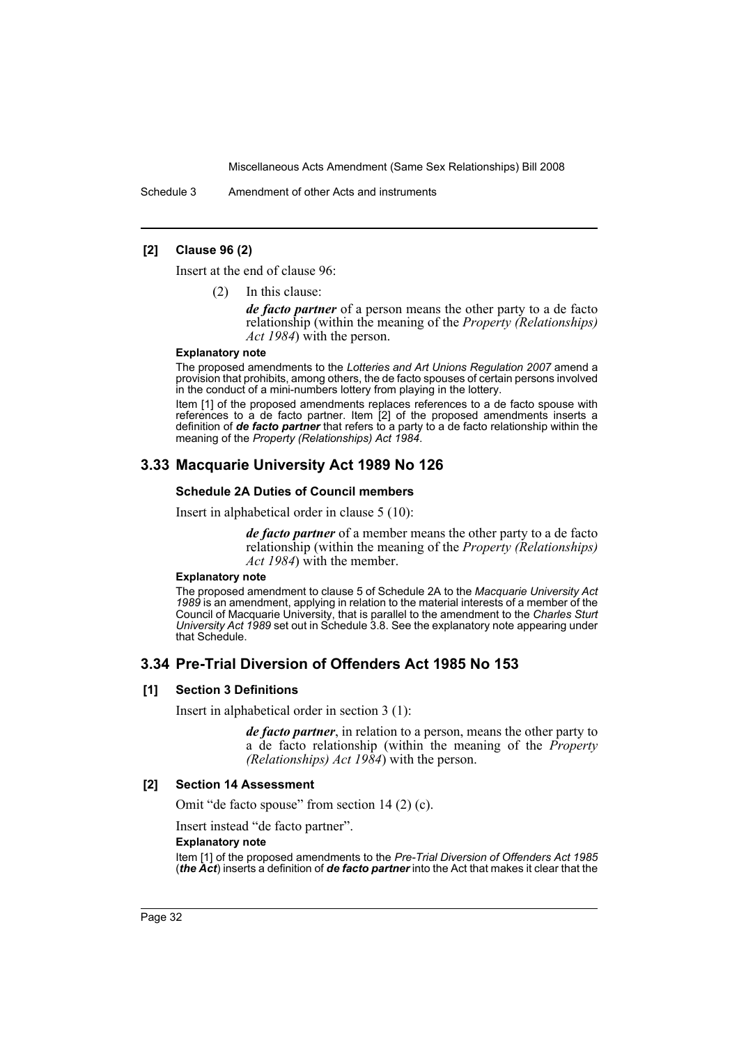Schedule 3 Amendment of other Acts and instruments

#### **[2] Clause 96 (2)**

Insert at the end of clause 96:

(2) In this clause:

*de facto partner* of a person means the other party to a de facto relationship (within the meaning of the *Property (Relationships) Act 1984*) with the person.

#### **Explanatory note**

The proposed amendments to the *Lotteries and Art Unions Regulation 2007* amend a provision that prohibits, among others, the de facto spouses of certain persons involved in the conduct of a mini-numbers lottery from playing in the lottery.

Item [1] of the proposed amendments replaces references to a de facto spouse with references to a de facto partner. Item [2] of the proposed amendments inserts a definition of *de facto partner* that refers to a party to a de facto relationship within the meaning of the *Property (Relationships) Act 1984*.

# **3.33 Macquarie University Act 1989 No 126**

#### **Schedule 2A Duties of Council members**

Insert in alphabetical order in clause 5 (10):

*de facto partner* of a member means the other party to a de facto relationship (within the meaning of the *Property (Relationships) Act 1984*) with the member.

#### **Explanatory note**

The proposed amendment to clause 5 of Schedule 2A to the *Macquarie University Act 1989* is an amendment, applying in relation to the material interests of a member of the Council of Macquarie University, that is parallel to the amendment to the *Charles Sturt University Act 1989* set out in Schedule 3.8. See the explanatory note appearing under that Schedule.

# **3.34 Pre-Trial Diversion of Offenders Act 1985 No 153**

#### **[1] Section 3 Definitions**

Insert in alphabetical order in section 3 (1):

*de facto partner*, in relation to a person, means the other party to a de facto relationship (within the meaning of the *Property (Relationships) Act 1984*) with the person.

#### **[2] Section 14 Assessment**

Omit "de facto spouse" from section 14 (2) (c).

Insert instead "de facto partner".

#### **Explanatory note**

Item [1] of the proposed amendments to the *Pre-Trial Diversion of Offenders Act 1985* (*the Act*) inserts a definition of *de facto partner* into the Act that makes it clear that the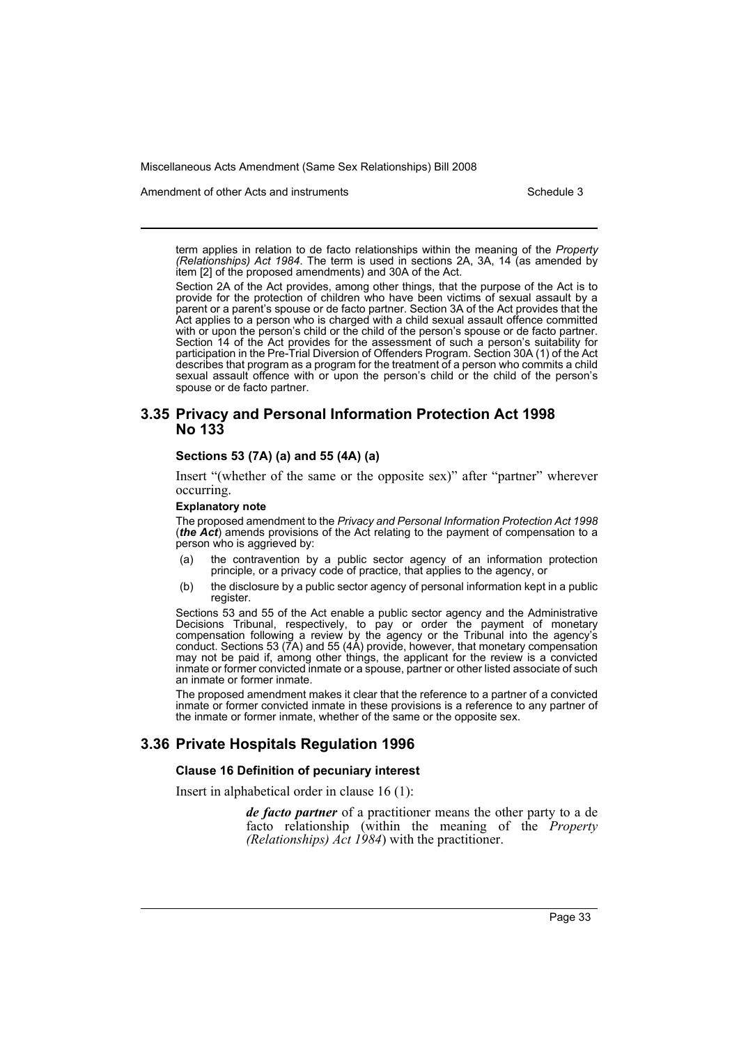Amendment of other Acts and instruments Schedule 3

term applies in relation to de facto relationships within the meaning of the *Property (Relationships) Act 1984*. The term is used in sections 2A, 3A, 14 (as amended by item [2] of the proposed amendments) and 30A of the Act.

Section 2A of the Act provides, among other things, that the purpose of the Act is to provide for the protection of children who have been victims of sexual assault by a parent or a parent's spouse or de facto partner. Section 3A of the Act provides that the Act applies to a person who is charged with a child sexual assault offence committed with or upon the person's child or the child of the person's spouse or de facto partner. Section 14 of the Act provides for the assessment of such a person's suitability for participation in the Pre-Trial Diversion of Offenders Program. Section 30A (1) of the Act describes that program as a program for the treatment of a person who commits a child sexual assault offence with or upon the person's child or the child of the person's spouse or de facto partner.

# **3.35 Privacy and Personal Information Protection Act 1998 No 133**

#### **Sections 53 (7A) (a) and 55 (4A) (a)**

Insert "(whether of the same or the opposite sex)" after "partner" wherever occurring.

#### **Explanatory note**

The proposed amendment to the *Privacy and Personal Information Protection Act 1998* (*the Act*) amends provisions of the Act relating to the payment of compensation to a person who is aggrieved by:

- (a) the contravention by a public sector agency of an information protection principle, or a privacy code of practice, that applies to the agency, or
- (b) the disclosure by a public sector agency of personal information kept in a public register.

Sections 53 and 55 of the Act enable a public sector agency and the Administrative Decisions Tribunal, respectively, to pay or order the payment of monetary compensation following a review by the agency or the Tribunal into the agency's conduct. Sections 53 (7A) and 55 (4A) provide, however, that monetary compensation may not be paid if, among other things, the applicant for the review is a convicted inmate or former convicted inmate or a spouse, partner or other listed associate of such an inmate or former inmate.

The proposed amendment makes it clear that the reference to a partner of a convicted inmate or former convicted inmate in these provisions is a reference to any partner of the inmate or former inmate, whether of the same or the opposite sex.

# **3.36 Private Hospitals Regulation 1996**

#### **Clause 16 Definition of pecuniary interest**

Insert in alphabetical order in clause 16 (1):

*de facto partner* of a practitioner means the other party to a de facto relationship (within the meaning of the *Property (Relationships) Act 1984*) with the practitioner.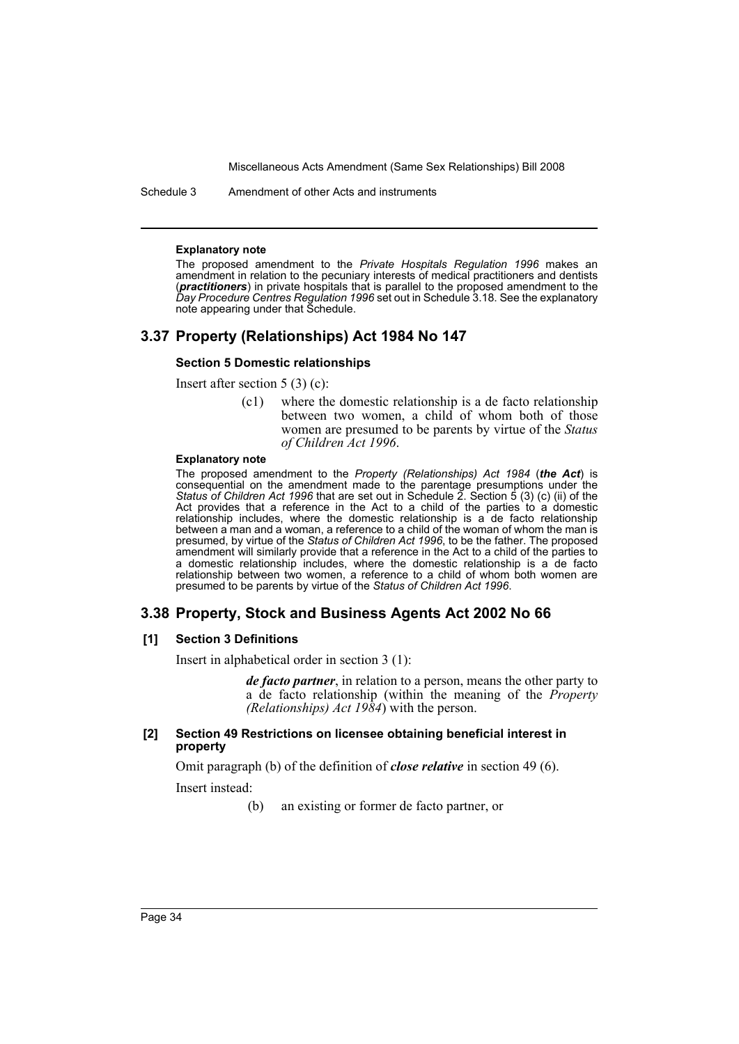Schedule 3 Amendment of other Acts and instruments

#### **Explanatory note**

The proposed amendment to the *Private Hospitals Regulation 1996* makes an amendment in relation to the pecuniary interests of medical practitioners and dentists (*practitioners*) in private hospitals that is parallel to the proposed amendment to the *Day Procedure Centres Regulation 1996* set out in Schedule 3.18. See the explanatory note appearing under that Schedule.

# **3.37 Property (Relationships) Act 1984 No 147**

#### **Section 5 Domestic relationships**

Insert after section 5 (3) (c):

(c1) where the domestic relationship is a de facto relationship between two women, a child of whom both of those women are presumed to be parents by virtue of the *Status of Children Act 1996*.

#### **Explanatory note**

The proposed amendment to the *Property (Relationships) Act 1984* (*the Act*) is consequential on the amendment made to the parentage presumptions under the *Status of Children Act 1996* that are set out in Schedule 2. Section 5 (3) (c) (ii) of the Act provides that a reference in the Act to a child of the parties to a domestic relationship includes, where the domestic relationship is a de facto relationship between a man and a woman, a reference to a child of the woman of whom the man is presumed, by virtue of the *Status of Children Act 1996*, to be the father. The proposed amendment will similarly provide that a reference in the Act to a child of the parties to a domestic relationship includes, where the domestic relationship is a de facto relationship between two women, a reference to a child of whom both women are presumed to be parents by virtue of the *Status of Children Act 1996*.

# **3.38 Property, Stock and Business Agents Act 2002 No 66**

#### **[1] Section 3 Definitions**

Insert in alphabetical order in section 3 (1):

*de facto partner*, in relation to a person, means the other party to a de facto relationship (within the meaning of the *Property (Relationships) Act 1984*) with the person.

#### **[2] Section 49 Restrictions on licensee obtaining beneficial interest in property**

Omit paragraph (b) of the definition of *close relative* in section 49 (6).

Insert instead:

(b) an existing or former de facto partner, or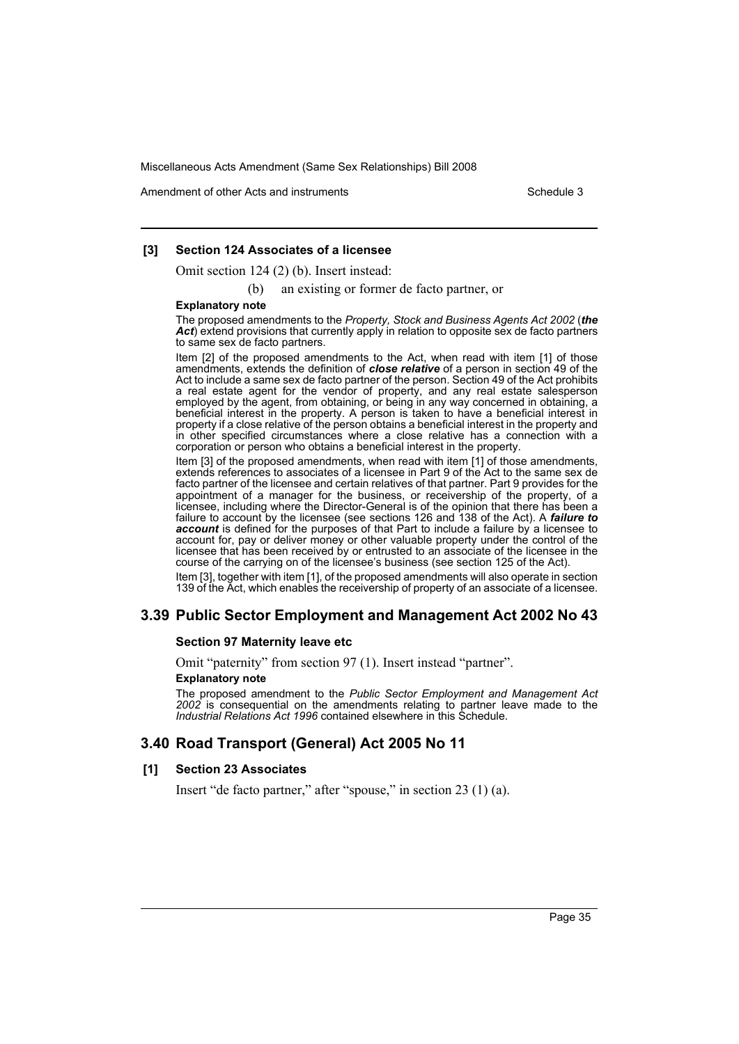Amendment of other Acts and instruments Schedule 3

### **[3] Section 124 Associates of a licensee**

Omit section 124 (2) (b). Insert instead:

(b) an existing or former de facto partner, or

#### **Explanatory note**

The proposed amendments to the *Property, Stock and Business Agents Act 2002* (*the Act*) extend provisions that currently apply in relation to opposite sex de facto partners to same sex de facto partners.

Item [2] of the proposed amendments to the Act, when read with item [1] of those amendments, extends the definition of *close relative* of a person in section 49 of the Act to include a same sex de facto partner of the person. Section 49 of the Act prohibits a real estate agent for the vendor of property, and any real estate salesperson employed by the agent, from obtaining, or being in any way concerned in obtaining, a beneficial interest in the property. A person is taken to have a beneficial interest in property if a close relative of the person obtains a beneficial interest in the property and in other specified circumstances where a close relative has a connection with a corporation or person who obtains a beneficial interest in the property.

Item [3] of the proposed amendments, when read with item [1] of those amendments, extends references to associates of a licensee in Part 9 of the Act to the same sex de facto partner of the licensee and certain relatives of that partner. Part 9 provides for the appointment of a manager for the business, or receivership of the property, of a licensee, including where the Director-General is of the opinion that there has been a failure to account by the licensee (see sections 126 and 138 of the Act). A *failure to account* is defined for the purposes of that Part to include a failure by a licensee to account for, pay or deliver money or other valuable property under the control of the licensee that has been received by or entrusted to an associate of the licensee in the course of the carrying on of the licensee's business (see section 125 of the Act).

Item [3], together with item [1], of the proposed amendments will also operate in section 139 of the Act, which enables the receivership of property of an associate of a licensee.

# **3.39 Public Sector Employment and Management Act 2002 No 43**

#### **Section 97 Maternity leave etc**

Omit "paternity" from section 97 (1). Insert instead "partner".

#### **Explanatory note**

The proposed amendment to the *Public Sector Employment and Management Act 2002* is consequential on the amendments relating to partner leave made to the *Industrial Relations Act 1996* contained elsewhere in this Schedule.

# **3.40 Road Transport (General) Act 2005 No 11**

#### **[1] Section 23 Associates**

Insert "de facto partner," after "spouse," in section 23 (1) (a).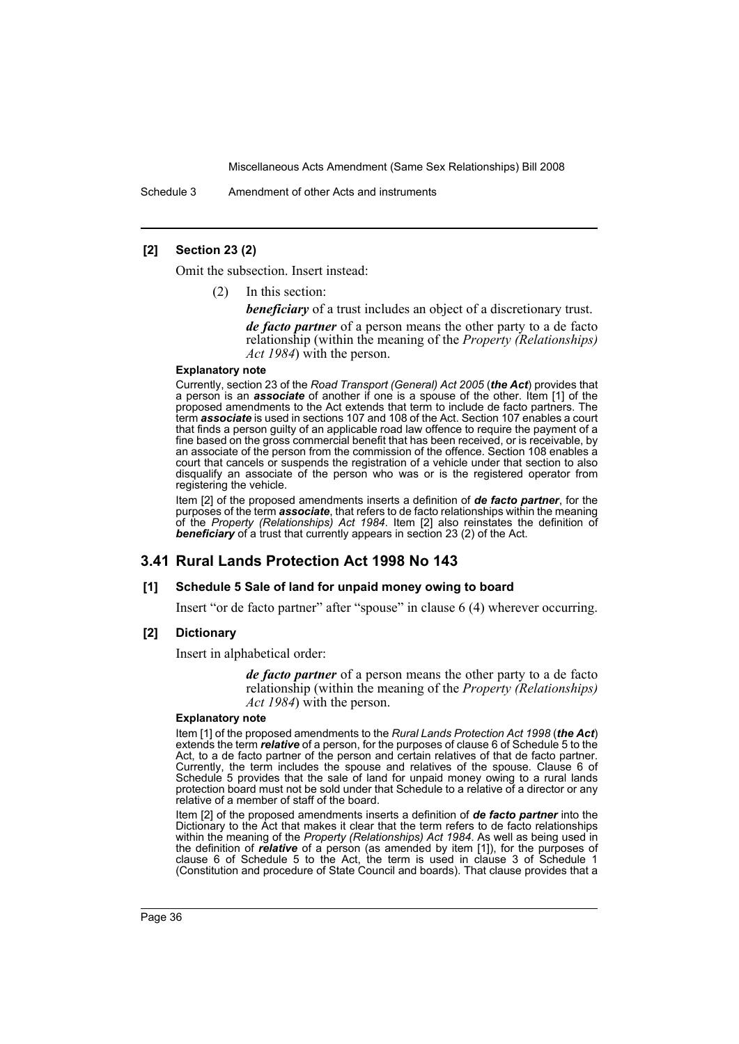Schedule 3 Amendment of other Acts and instruments

# **[2] Section 23 (2)**

Omit the subsection. Insert instead:

(2) In this section:

*beneficiary* of a trust includes an object of a discretionary trust.

*de facto partner* of a person means the other party to a de facto relationship (within the meaning of the *Property (Relationships) Act 1984*) with the person.

#### **Explanatory note**

Currently, section 23 of the *Road Transport (General) Act 2005* (*the Act*) provides that a person is an *associate* of another if one is a spouse of the other. Item [1] of the proposed amendments to the Act extends that term to include de facto partners. The term *associate* is used in sections 107 and 108 of the Act. Section 107 enables a court that finds a person guilty of an applicable road law offence to require the payment of a fine based on the gross commercial benefit that has been received, or is receivable, by an associate of the person from the commission of the offence. Section 108 enables a court that cancels or suspends the registration of a vehicle under that section to also disqualify an associate of the person who was or is the registered operator from registering the vehicle.

Item [2] of the proposed amendments inserts a definition of *de facto partner*, for the purposes of the term *associate*, that refers to de facto relationships within the meaning of the *Property (Relationships) Act 1984*. Item [2] also reinstates the definition of *beneficiary* of a trust that currently appears in section 23 (2) of the Act.

# **3.41 Rural Lands Protection Act 1998 No 143**

#### **[1] Schedule 5 Sale of land for unpaid money owing to board**

Insert "or de facto partner" after "spouse" in clause 6 (4) wherever occurring.

# **[2] Dictionary**

Insert in alphabetical order:

*de facto partner* of a person means the other party to a de facto relationship (within the meaning of the *Property (Relationships) Act 1984*) with the person.

#### **Explanatory note**

Item [1] of the proposed amendments to the *Rural Lands Protection Act 1998* (*the Act*) extends the term *relative* of a person, for the purposes of clause 6 of Schedule 5 to the Act, to a de facto partner of the person and certain relatives of that de facto partner. Currently, the term includes the spouse and relatives of the spouse. Clause 6 of Schedule 5 provides that the sale of land for unpaid money owing to a rural lands protection board must not be sold under that Schedule to a relative of a director or any relative of a member of staff of the board.

Item [2] of the proposed amendments inserts a definition of *de facto partner* into the Dictionary to the Act that makes it clear that the term refers to de facto relationships within the meaning of the *Property (Relationships) Act 1984*. As well as being used in the definition of *relative* of a person (as amended by item [1]), for the purposes of clause 6 of Schedule 5 to the Act, the term is used in clause 3 of Schedule 1 (Constitution and procedure of State Council and boards). That clause provides that a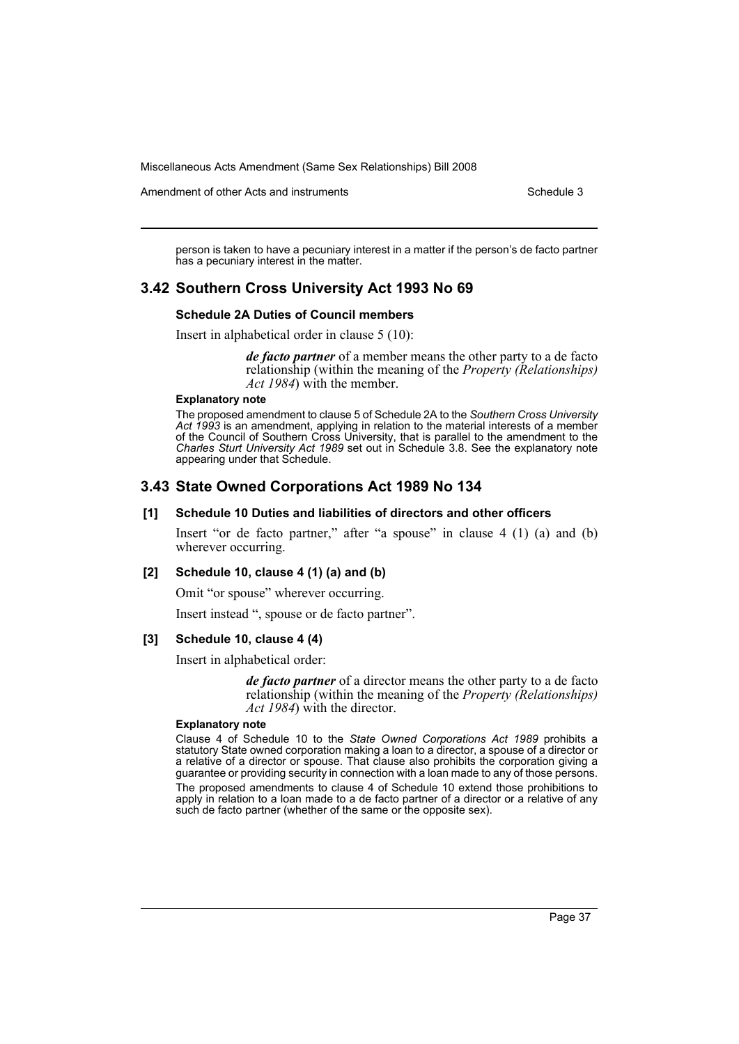Amendment of other Acts and instruments Schedule 3

person is taken to have a pecuniary interest in a matter if the person's de facto partner has a pecuniary interest in the matter.

# **3.42 Southern Cross University Act 1993 No 69**

#### **Schedule 2A Duties of Council members**

Insert in alphabetical order in clause 5 (10):

*de facto partner* of a member means the other party to a de facto relationship (within the meaning of the *Property (Relationships) Act 1984*) with the member.

#### **Explanatory note**

The proposed amendment to clause 5 of Schedule 2A to the *Southern Cross University Act 1993* is an amendment, applying in relation to the material interests of a member of the Council of Southern Cross University, that is parallel to the amendment to the *Charles Sturt University Act 1989* set out in Schedule 3.8. See the explanatory note appearing under that Schedule.

# **3.43 State Owned Corporations Act 1989 No 134**

#### **[1] Schedule 10 Duties and liabilities of directors and other officers**

Insert "or de facto partner," after "a spouse" in clause 4 (1) (a) and (b) wherever occurring.

#### **[2] Schedule 10, clause 4 (1) (a) and (b)**

Omit "or spouse" wherever occurring.

Insert instead ", spouse or de facto partner".

#### **[3] Schedule 10, clause 4 (4)**

Insert in alphabetical order:

*de facto partner* of a director means the other party to a de facto relationship (within the meaning of the *Property (Relationships) Act 1984*) with the director.

#### **Explanatory note**

Clause 4 of Schedule 10 to the *State Owned Corporations Act 1989* prohibits a statutory State owned corporation making a loan to a director, a spouse of a director or a relative of a director or spouse. That clause also prohibits the corporation giving a guarantee or providing security in connection with a loan made to any of those persons. The proposed amendments to clause 4 of Schedule 10 extend those prohibitions to apply in relation to a loan made to a de facto partner of a director or a relative of any such de facto partner (whether of the same or the opposite sex).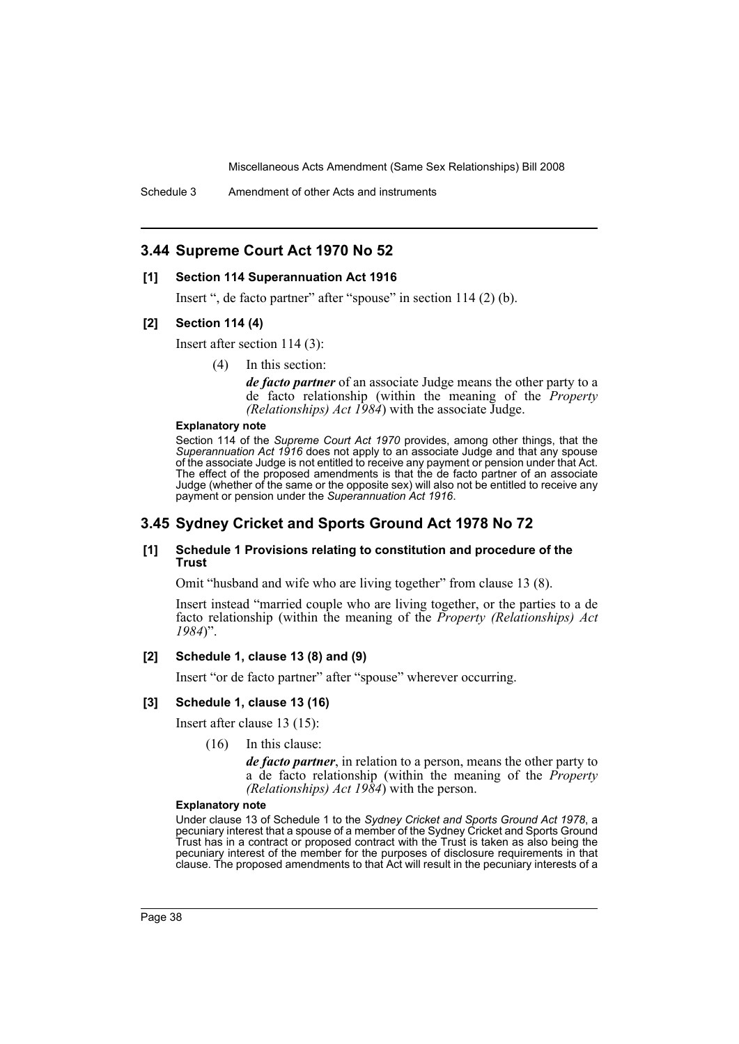Schedule 3 Amendment of other Acts and instruments

# **3.44 Supreme Court Act 1970 No 52**

#### **[1] Section 114 Superannuation Act 1916**

Insert ", de facto partner" after "spouse" in section 114 (2) (b).

#### **[2] Section 114 (4)**

Insert after section 114 (3):

(4) In this section:

*de facto partner* of an associate Judge means the other party to a de facto relationship (within the meaning of the *Property (Relationships) Act 1984*) with the associate Judge.

#### **Explanatory note**

Section 114 of the *Supreme Court Act 1970* provides, among other things, that the *Superannuation Act 1916* does not apply to an associate Judge and that any spouse of the associate Judge is not entitled to receive any payment or pension under that Act. The effect of the proposed amendments is that the de facto partner of an associate Judge (whether of the same or the opposite sex) will also not be entitled to receive any payment or pension under the *Superannuation Act 1916*.

### **3.45 Sydney Cricket and Sports Ground Act 1978 No 72**

#### **[1] Schedule 1 Provisions relating to constitution and procedure of the Trust**

Omit "husband and wife who are living together" from clause 13 (8).

Insert instead "married couple who are living together, or the parties to a de facto relationship (within the meaning of the *Property (Relationships) Act 1984*)".

#### **[2] Schedule 1, clause 13 (8) and (9)**

Insert "or de facto partner" after "spouse" wherever occurring.

#### **[3] Schedule 1, clause 13 (16)**

Insert after clause 13 (15):

(16) In this clause:

*de facto partner*, in relation to a person, means the other party to a de facto relationship (within the meaning of the *Property (Relationships) Act 1984*) with the person.

#### **Explanatory note**

Under clause 13 of Schedule 1 to the *Sydney Cricket and Sports Ground Act 1978*, a pecuniary interest that a spouse of a member of the Sydney Cricket and Sports Ground Trust has in a contract or proposed contract with the Trust is taken as also being the pecuniary interest of the member for the purposes of disclosure requirements in that clause. The proposed amendments to that Act will result in the pecuniary interests of a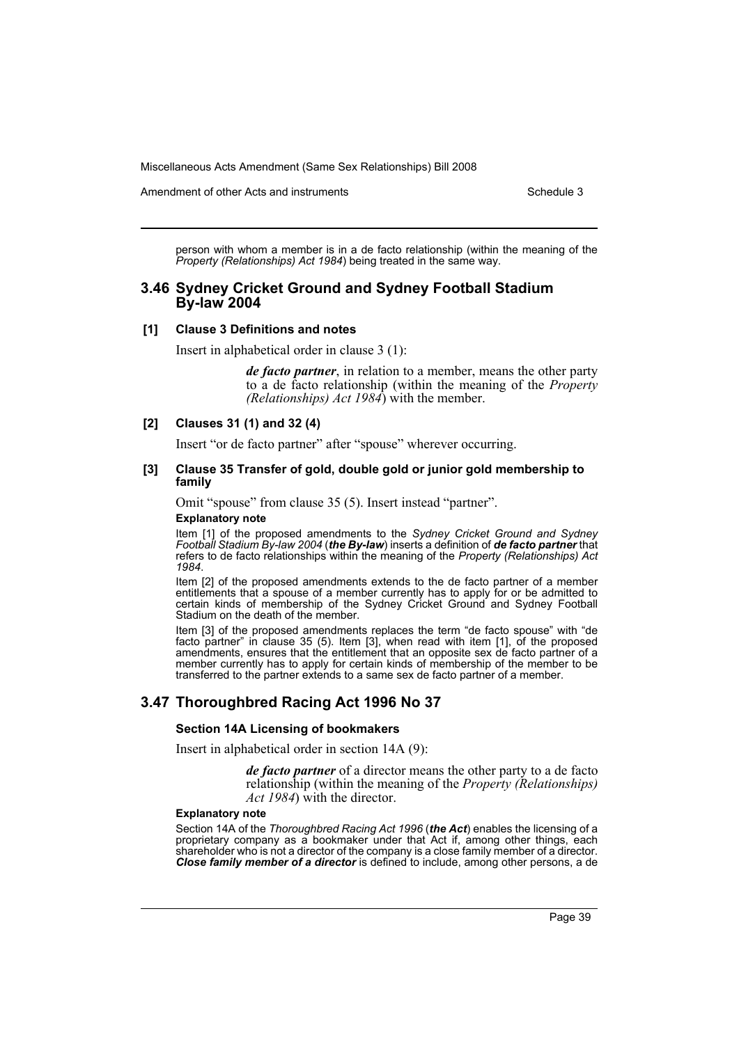Amendment of other Acts and instruments Schedule 3

person with whom a member is in a de facto relationship (within the meaning of the *Property (Relationships) Act 1984*) being treated in the same way.

# **3.46 Sydney Cricket Ground and Sydney Football Stadium By-law 2004**

#### **[1] Clause 3 Definitions and notes**

Insert in alphabetical order in clause 3 (1):

*de facto partner*, in relation to a member, means the other party to a de facto relationship (within the meaning of the *Property (Relationships) Act 1984*) with the member.

#### **[2] Clauses 31 (1) and 32 (4)**

Insert "or de facto partner" after "spouse" wherever occurring.

#### **[3] Clause 35 Transfer of gold, double gold or junior gold membership to family**

Omit "spouse" from clause 35 (5). Insert instead "partner".

#### **Explanatory note**

Item [1] of the proposed amendments to the *Sydney Cricket Ground and Sydney Football Stadium By-law 2004* (*the By-law*) inserts a definition of *de facto partner* that refers to de facto relationships within the meaning of the *Property (Relationships) Act 1984*.

Item [2] of the proposed amendments extends to the de facto partner of a member entitlements that a spouse of a member currently has to apply for or be admitted to certain kinds of membership of the Sydney Cricket Ground and Sydney Football Stadium on the death of the member.

Item [3] of the proposed amendments replaces the term "de facto spouse" with "de facto partner" in clause 35 (5). Item [3], when read with item [1], of the proposed amendments, ensures that the entitlement that an opposite sex de facto partner of a member currently has to apply for certain kinds of membership of the member to be transferred to the partner extends to a same sex de facto partner of a member.

# **3.47 Thoroughbred Racing Act 1996 No 37**

#### **Section 14A Licensing of bookmakers**

Insert in alphabetical order in section 14A (9):

*de facto partner* of a director means the other party to a de facto relationship (within the meaning of the *Property (Relationships) Act 1984*) with the director.

#### **Explanatory note**

Section 14A of the *Thoroughbred Racing Act 1996* (*the Act*) enables the licensing of a proprietary company as a bookmaker under that Act if, among other things, each shareholder who is not a director of the company is a close family member of a director. *Close family member of a director* is defined to include, among other persons, a de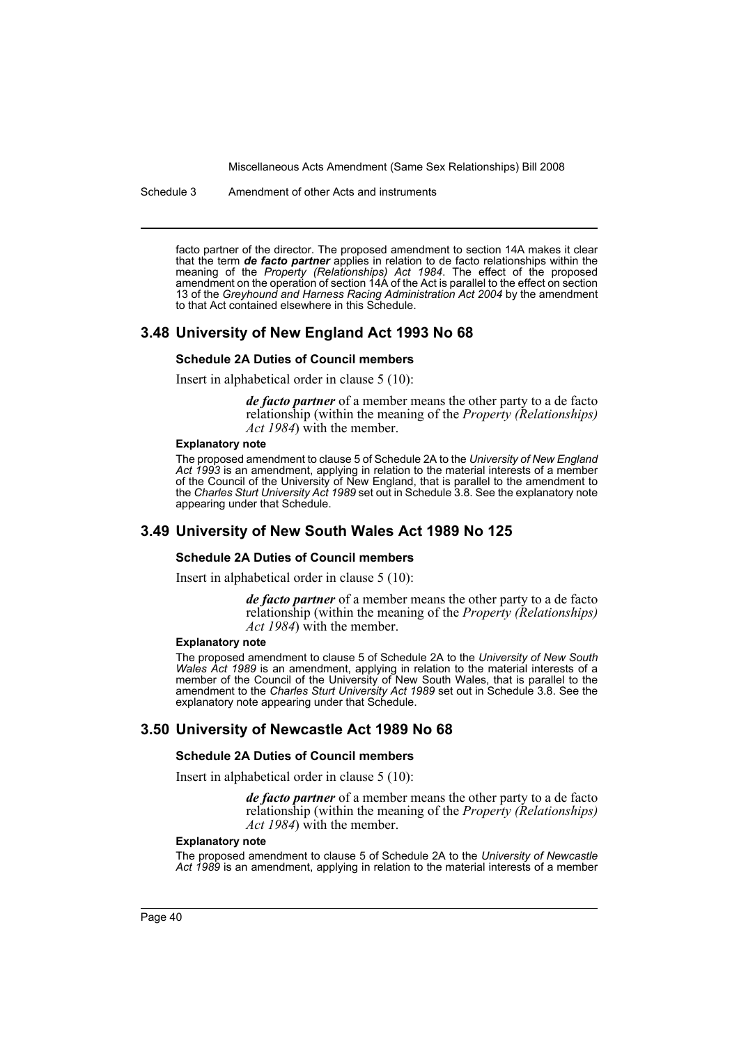Schedule 3 Amendment of other Acts and instruments

facto partner of the director. The proposed amendment to section 14A makes it clear that the term *de facto partner* applies in relation to de facto relationships within the meaning of the *Property (Relationships) Act 1984*. The effect of the proposed amendment on the operation of section 14A of the Act is parallel to the effect on section 13 of the *Greyhound and Harness Racing Administration Act 2004* by the amendment to that Act contained elsewhere in this Schedule.

# **3.48 University of New England Act 1993 No 68**

#### **Schedule 2A Duties of Council members**

Insert in alphabetical order in clause 5 (10):

*de facto partner* of a member means the other party to a de facto relationship (within the meaning of the *Property (Relationships) Act 1984*) with the member.

#### **Explanatory note**

The proposed amendment to clause 5 of Schedule 2A to the *University of New England Act 1993* is an amendment, applying in relation to the material interests of a member of the Council of the University of New England, that is parallel to the amendment to the *Charles Sturt University Act 1989* set out in Schedule 3.8. See the explanatory note appearing under that Schedule.

#### **3.49 University of New South Wales Act 1989 No 125**

#### **Schedule 2A Duties of Council members**

Insert in alphabetical order in clause 5 (10):

*de facto partner* of a member means the other party to a de facto relationship (within the meaning of the *Property (Relationships) Act 1984*) with the member.

#### **Explanatory note**

The proposed amendment to clause 5 of Schedule 2A to the *University of New South Wales Act 1989* is an amendment, applying in relation to the material interests of a member of the Council of the University of New South Wales, that is parallel to the amendment to the *Charles Sturt University Act 1989* set out in Schedule 3.8. See the explanatory note appearing under that Schedule.

#### **3.50 University of Newcastle Act 1989 No 68**

#### **Schedule 2A Duties of Council members**

Insert in alphabetical order in clause 5 (10):

*de facto partner* of a member means the other party to a de facto relationship (within the meaning of the *Property (Relationships) Act 1984*) with the member.

#### **Explanatory note**

The proposed amendment to clause 5 of Schedule 2A to the *University of Newcastle Act 1989* is an amendment, applying in relation to the material interests of a member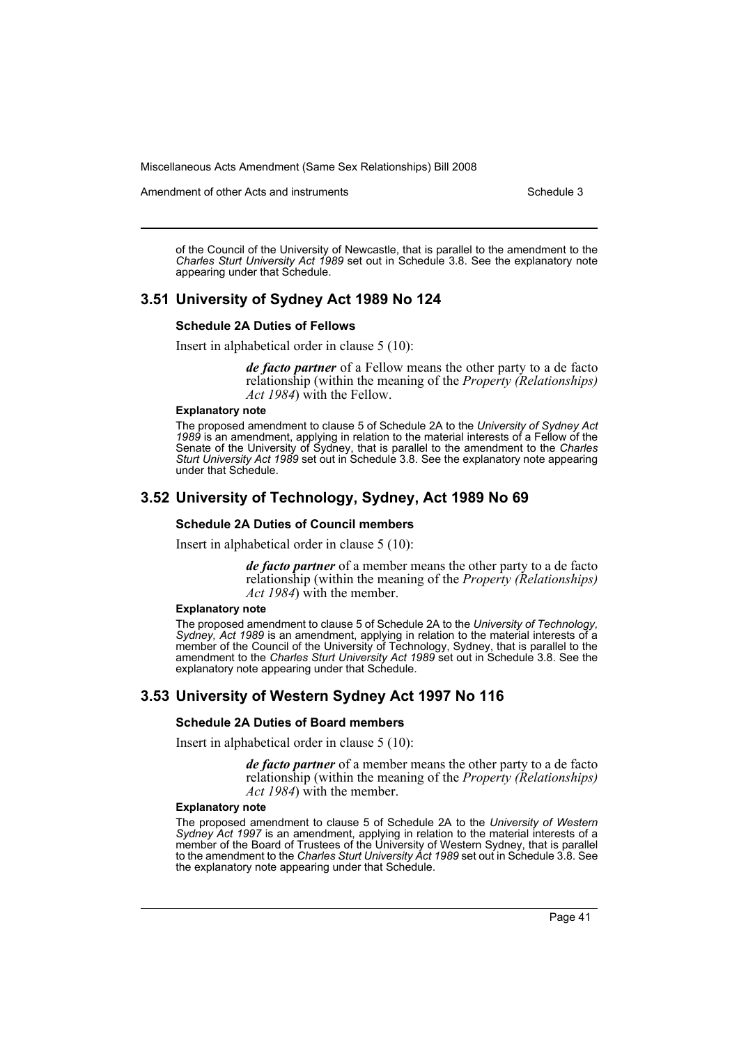Amendment of other Acts and instruments Schedule 3

of the Council of the University of Newcastle, that is parallel to the amendment to the *Charles Sturt University Act 1989* set out in Schedule 3.8. See the explanatory note appearing under that Schedule.

# **3.51 University of Sydney Act 1989 No 124**

#### **Schedule 2A Duties of Fellows**

Insert in alphabetical order in clause 5 (10):

*de facto partner* of a Fellow means the other party to a de facto relationship (within the meaning of the *Property (Relationships) Act 1984*) with the Fellow.

#### **Explanatory note**

The proposed amendment to clause 5 of Schedule 2A to the *University of Sydney Act 1989* is an amendment, applying in relation to the material interests of a Fellow of the Senate of the University of Sydney, that is parallel to the amendment to the *Charles Sturt University Act 1989* set out in Schedule 3.8. See the explanatory note appearing under that Schedule.

# **3.52 University of Technology, Sydney, Act 1989 No 69**

#### **Schedule 2A Duties of Council members**

Insert in alphabetical order in clause 5 (10):

*de facto partner* of a member means the other party to a de facto relationship (within the meaning of the *Property (Relationships) Act 1984*) with the member.

#### **Explanatory note**

The proposed amendment to clause 5 of Schedule 2A to the *University of Technology, Sydney, Act 1989* is an amendment, applying in relation to the material interests of a member of the Council of the University of Technology, Sydney, that is parallel to the amendment to the *Charles Sturt University Act 1989* set out in Schedule 3.8. See the explanatory note appearing under that Schedule.

# **3.53 University of Western Sydney Act 1997 No 116**

# **Schedule 2A Duties of Board members**

Insert in alphabetical order in clause 5 (10):

*de facto partner* of a member means the other party to a de facto relationship (within the meaning of the *Property (Relationships) Act 1984*) with the member.

#### **Explanatory note**

The proposed amendment to clause 5 of Schedule 2A to the *University of Western Sydney Act 1997* is an amendment, applying in relation to the material interests of a member of the Board of Trustees of the University of Western Sydney, that is parallel to the amendment to the *Charles Sturt University Act 1989* set out in Schedule 3.8. See the explanatory note appearing under that Schedule.